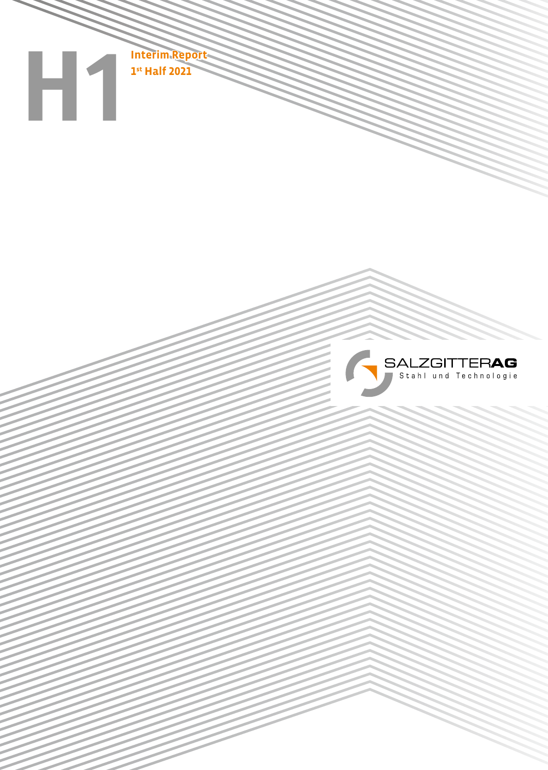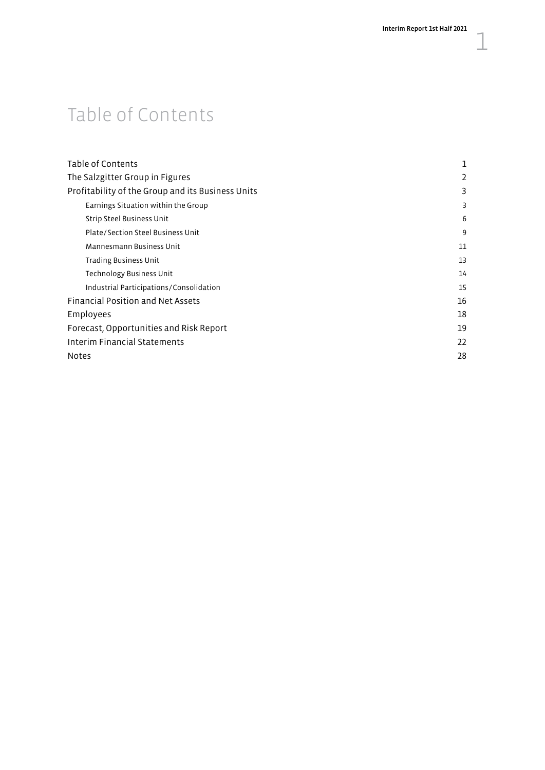# Table of Contents

| Table of Contents                                 | 1  |
|---------------------------------------------------|----|
| The Salzgitter Group in Figures                   | 2  |
| Profitability of the Group and its Business Units | 3  |
| Earnings Situation within the Group               | 3  |
| Strip Steel Business Unit                         | 6  |
| Plate/Section Steel Business Unit                 | 9  |
| Mannesmann Business Unit                          | 11 |
| Trading Business Unit                             | 13 |
| <b>Technology Business Unit</b>                   | 14 |
| Industrial Participations/Consolidation           | 15 |
| <b>Financial Position and Net Assets</b>          | 16 |
| Employees                                         | 18 |
| Forecast, Opportunities and Risk Report           | 19 |
| Interim Financial Statements                      | 22 |
| <b>Notes</b>                                      | 28 |
|                                                   |    |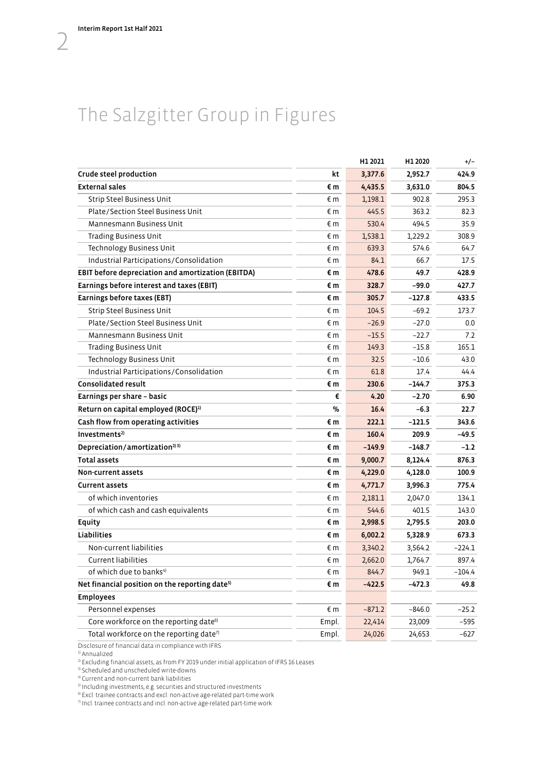# <span id="page-3-0"></span>The Salzgitter Group in Figures

|                                                            |              | H1 2021  | H1 2020  | $+/-$    |
|------------------------------------------------------------|--------------|----------|----------|----------|
| Crude steel production                                     | kt           | 3,377.6  | 2,952.7  | 424.9    |
| <b>External sales</b>                                      | €m           | 4,435.5  | 3,631.0  | 804.5    |
| <b>Strip Steel Business Unit</b>                           | €m           | 1,198.1  | 902.8    | 295.3    |
| Plate/Section Steel Business Unit                          | € m          | 445.5    | 363.2    | 82.3     |
| Mannesmann Business Unit                                   | € m          | 530.4    | 494.5    | 35.9     |
| <b>Trading Business Unit</b>                               | €m           | 1,538.1  | 1,229.2  | 308.9    |
| Technology Business Unit                                   | € m          | 639.3    | 574.6    | 64.7     |
| Industrial Participations/Consolidation                    | €m           | 84.1     | 66.7     | 17.5     |
| EBIT before depreciation and amortization (EBITDA)         | €m           | 478.6    | 49.7     | 428.9    |
| Earnings before interest and taxes (EBIT)                  | €m           | 328.7    | -99.0    | 427.7    |
| Earnings before taxes (EBT)                                | €m           | 305.7    | $-127.8$ | 433.5    |
| <b>Strip Steel Business Unit</b>                           | € m          | 104.5    | $-69.2$  | 173.7    |
| Plate/Section Steel Business Unit                          | € m          | $-26.9$  | $-27.0$  | 0.0      |
| Mannesmann Business Unit                                   | € m          | $-15.5$  | $-22.7$  | 7.2      |
| <b>Trading Business Unit</b>                               | € m          | 149.3    | $-15.8$  | 165.1    |
| <b>Technology Business Unit</b>                            | $\epsilon$ m | 32.5     | $-10.6$  | 43.0     |
| Industrial Participations/Consolidation                    | € m          | 61.8     | 17.4     | 44.4     |
| <b>Consolidated result</b>                                 | €m           | 230.6    | $-144.7$ | 375.3    |
| Earnings per share - basic                                 | €            | 4.20     | $-2.70$  | 6.90     |
| Return on capital employed (ROCE) <sup>1)</sup>            | $\%$         | 16.4     | $-6.3$   | 22.7     |
| Cash flow from operating activities                        | €m           | 222.1    | -121.5   | 343.6    |
| Investments <sup>2)</sup>                                  | €m           | 160.4    | 209.9    | -49.5    |
| Depreciation/amortization <sup>2) 3)</sup>                 | €m           | $-149.9$ | $-148.7$ | $-1.2$   |
| <b>Total assets</b>                                        | €m           | 9,000.7  | 8,124.4  | 876.3    |
| Non-current assets                                         | €m           | 4,229.0  | 4,128.0  | 100.9    |
| <b>Current assets</b>                                      | €m           | 4,771.7  | 3,996.3  | 775.4    |
| of which inventories                                       | € m          | 2,181.1  | 2,047.0  | 134.1    |
| of which cash and cash equivalents                         | € m          | 544.6    | 401.5    | 143.0    |
| Equity                                                     | €m           | 2,998.5  | 2,795.5  | 203.0    |
| <b>Liabilities</b>                                         | €m           | 6,002.2  | 5,328.9  | 673.3    |
| Non-current liabilities                                    | € m          | 3,340.2  | 3,564.2  | $-224.1$ |
| <b>Current liabilities</b>                                 | €m           | 2,662.0  | 1,764.7  | 897.4    |
| of which due to banks <sup>4)</sup>                        | €m           | 844.7    | 949.1    | $-104.4$ |
| Net financial position on the reporting date <sup>5)</sup> | €m           | $-422.5$ | $-472.3$ | 49.8     |
| <b>Employees</b>                                           |              |          |          |          |
| Personnel expenses                                         | €m           | $-871.2$ | $-846.0$ | $-25.2$  |
| Core workforce on the reporting date <sup>6)</sup>         | Empl.        | 22,414   | 23,009   | $-595$   |
| Total workforce on the reporting date <sup>7)</sup>        | Empl.        | 24,026   | 24,653   | $-627$   |

Disclosure of financial data in compliance with IFRS 1) Annualized

<sup>2)</sup> Excluding financial assets, as from FY 2019 under initial application of IFRS 16 Leases <sup>3)</sup> Scheduled and unscheduled write-downs

 $^{\textrm{\tiny{\textrm{4}}}}$  Current and non-current bank liabilities<br> $^{\textrm{\tiny{\textrm{5}}}}$  Including investments, e.g. securities and structured investments

<sup>6)</sup> Excl. trainee contracts and excl. non-active age-related part-time work

 $7$  Incl. trainee contracts and incl. non-active age-related part-time work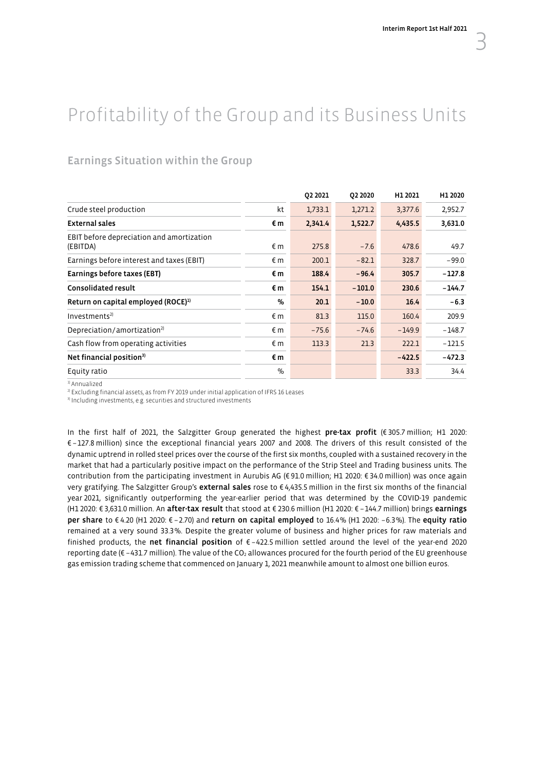# <span id="page-4-0"></span>Profitability of the Group and its Business Units

# Earnings Situation within the Group

|                                                       |               | 02 2021 | 02 20 20 | H1 2021  | H1 2020  |
|-------------------------------------------------------|---------------|---------|----------|----------|----------|
| Crude steel production                                | kt            | 1,733.1 | 1,271.2  | 3,377.6  | 2,952.7  |
| <b>External sales</b>                                 | €m            | 2,341.4 | 1,522.7  | 4,435.5  | 3,631.0  |
| EBIT before depreciation and amortization<br>(EBITDA) | $\n  ε m\n$   | 275.8   | $-7.6$   | 478.6    | 49.7     |
| Earnings before interest and taxes (EBIT)             | €m            | 200.1   | $-82.1$  | 328.7    | $-99.0$  |
| Earnings before taxes (EBT)                           | €m            | 188.4   | $-96.4$  | 305.7    | $-127.8$ |
| <b>Consolidated result</b>                            | €m            | 154.1   | $-101.0$ | 230.6    | $-144.7$ |
| Return on capital employed (ROCE) <sup>1)</sup>       | $\frac{q}{q}$ | 20.1    | $-10.0$  | 16.4     | $-6.3$   |
| Investments <sup>2</sup>                              | $\n  ε m\n$   | 81.3    | 115.0    | 160.4    | 209.9    |
| Depreciation/amortization <sup>2)</sup>               | $\epsilon$ m  | $-75.6$ | $-74.6$  | $-149.9$ | $-148.7$ |
| Cash flow from operating activities                   | $\epsilon$ m  | 113.3   | 21.3     | 222.1    | $-121.5$ |
| Net financial position <sup>3)</sup>                  | €m            |         |          | $-422.5$ | $-472.3$ |
| Equity ratio                                          | $\%$          |         |          | 33.3     | 34.4     |

1) Annualized

<sup>2)</sup> Excluding financial assets, as from FY 2019 under initial application of IFRS 16 Leases <sup>3</sup>) Including investments, e.g. securities and structured investments

In the first half of 2021, the Salzgitter Group generated the highest pre-tax profit (€ 305.7 million; H1 2020: € –127.8 million) since the exceptional financial years 2007 and 2008. The drivers of this result consisted of the dynamic uptrend in rolled steel prices over the course of the first six months, coupled with a sustained recovery in the market that had a particularly positive impact on the performance of the Strip Steel and Trading business units. The contribution from the participating investment in Aurubis AG (€ 91.0 million; H1 2020: € 34.0 million) was once again very gratifying. The Salzgitter Group's external sales rose to €4,435.5 million in the first six months of the financial year 2021, significantly outperforming the year-earlier period that was determined by the COVID-19 pandemic (H1 2020: € 3,631.0 million. An after-tax result that stood at € 230.6 million (H1 2020: € –144.7 million) brings earnings per share to € 4.20 (H1 2020: € –2.70) and return on capital employed to 16.4% (H1 2020: –6.3%). The equity ratio remained at a very sound 33.3%. Despite the greater volume of business and higher prices for raw materials and finished products, the net financial position of  $\epsilon$  –422.5 million settled around the level of the year-end 2020 reporting date (€ -431.7 million). The value of the CO2 allowances procured for the fourth period of the EU greenhouse gas emission trading scheme that commenced on January 1, 2021 meanwhile amount to almost one billion euros.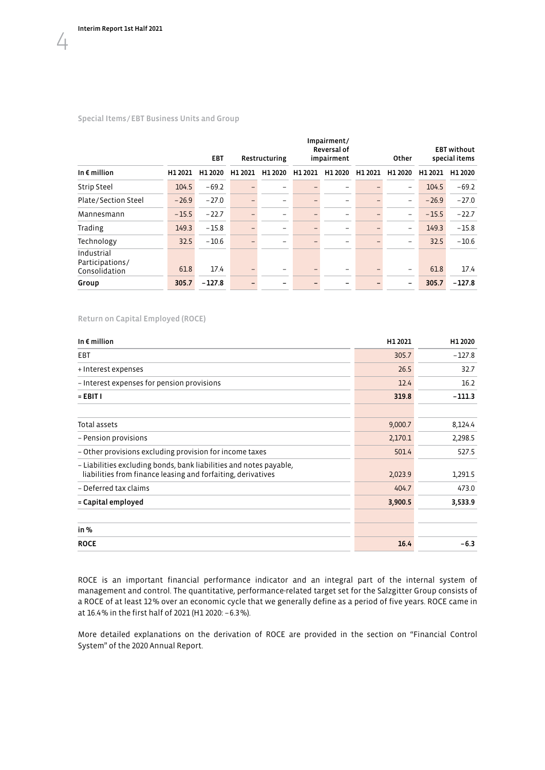$\sqrt{4}$ 

#### Special Items/EBT Business Units and Group

|                                                | <b>EBT</b> |          | Restructuring |                          | Impairment/<br><b>Reversal of</b><br>impairment |                          | Other   |                          |         | <b>EBT</b> without<br>special items |
|------------------------------------------------|------------|----------|---------------|--------------------------|-------------------------------------------------|--------------------------|---------|--------------------------|---------|-------------------------------------|
| In $\epsilon$ million                          | H1 2021    | H1 2020  | H1 2021       | H1 2020                  | H1 2021                                         | H1 2020                  | H1 2021 | H1 2020                  | H1 2021 | H1 2020                             |
| <b>Strip Steel</b>                             | 104.5      | $-69.2$  |               |                          |                                                 | $\qquad \qquad$          |         | $\overline{\phantom{0}}$ | 104.5   | $-69.2$                             |
| Plate/Section Steel                            | $-26.9$    | $-27.0$  |               |                          | -                                               | $\overline{\phantom{0}}$ |         | $\overline{\phantom{0}}$ | $-26.9$ | $-27.0$                             |
| Mannesmann                                     | $-15.5$    | $-22.7$  |               |                          | -                                               | $\qquad \qquad$          |         | $\overline{\phantom{0}}$ | $-15.5$ | $-22.7$                             |
| Trading                                        | 149.3      | $-15.8$  |               | $\overline{\phantom{0}}$ | -                                               | $\qquad \qquad$          |         | -                        | 149.3   | $-15.8$                             |
| Technology                                     | 32.5       | $-10.6$  |               |                          |                                                 | -                        |         | -                        | 32.5    | $-10.6$                             |
| Industrial<br>Participations/<br>Consolidation | 61.8       | 17.4     |               |                          |                                                 | $\qquad \qquad$          |         | -                        | 61.8    | 17.4                                |
| Group                                          | 305.7      | $-127.8$ |               |                          |                                                 | $\overline{\phantom{0}}$ |         | $\overline{\phantom{m}}$ | 305.7   | $-127.8$                            |

#### Return on Capital Employed (ROCE)

| H1 2021 | H1 2020  |
|---------|----------|
| 305.7   | $-127.8$ |
| 26.5    | 32.7     |
| 12.4    | 16.2     |
| 319.8   | $-111.3$ |
| 9,000.7 | 8,124.4  |
| 2,170.1 | 2,298.5  |
| 501.4   | 527.5    |
| 2,023.9 | 1,291.5  |
| 404.7   | 473.0    |
| 3,900.5 | 3,533.9  |
|         |          |
| 16.4    | $-6.3$   |
|         |          |

ROCE is an important financial performance indicator and an integral part of the internal system of management and control. The quantitative, performance-related target set for the Salzgitter Group consists of a ROCE of at least 12% over an economic cycle that we generally define as a period of five years. ROCE came in at 16.4% in the first half of 2021 (H1 2020: –6.3%).

More detailed explanations on the derivation of ROCE are provided in the section on "Financial Control System" of the 2020 Annual Report.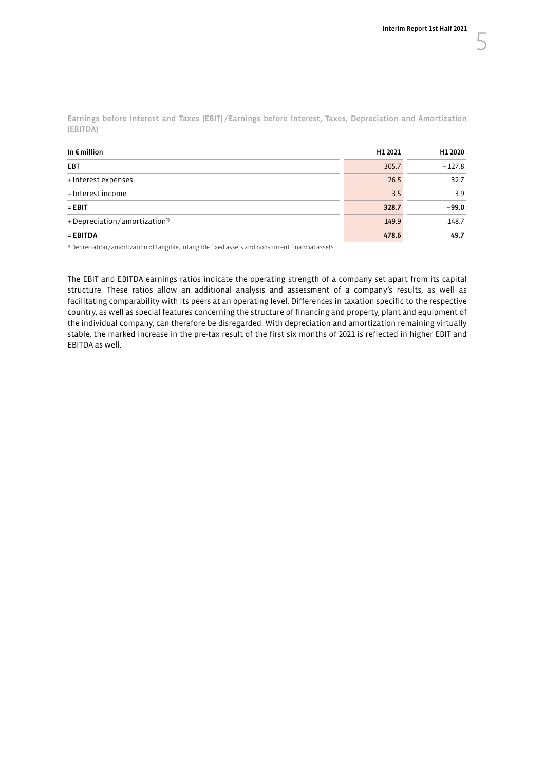Earnings before Interest and Taxes (EBIT) /Earnings before Interest, Taxes, Depreciation and Amortization (EBITDA)

| In $\epsilon$ million                     | H1 2021 | H1 2020  |
|-------------------------------------------|---------|----------|
| EBT                                       | 305.7   | $-127.8$ |
| + Interest expenses                       | 26.5    | 32.7     |
| - Interest income                         | 3.5     | 3.9      |
| $=$ EBIT                                  | 328.7   | $-99.0$  |
| + Depreciation/amortization <sup>1)</sup> | 149.9   | 148.7    |
| $=$ EBITDA                                | 478.6   | 49.7     |

<sup>1)</sup> Depreciation/amortization of tangible, intangible fixed assets and non-current financial assets

The EBIT and EBITDA earnings ratios indicate the operating strength of a company set apart from its capital structure. These ratios allow an additional analysis and assessment of a company's results, as well as facilitating comparability with its peers at an operating level. Differences in taxation specific to the respective country, as well as special features concerning the structure of financing and property, plant and equipment of the individual company, can therefore be disregarded. With depreciation and amortization remaining virtually stable, the marked increase in the pre-tax result of the first six months of 2021 is reflected in higher EBIT and EBITDA as well.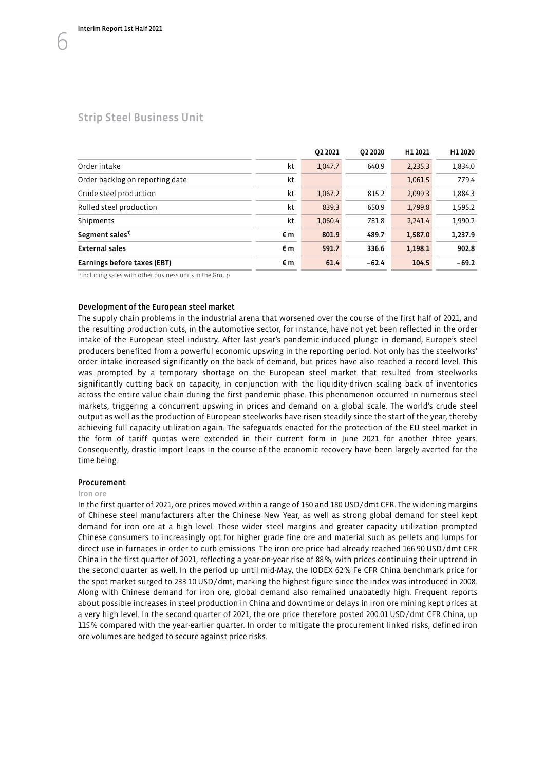<span id="page-7-0"></span>

|                                 |    | 02 2021 | 02 20 20 | H1 2021 | H1 2020 |
|---------------------------------|----|---------|----------|---------|---------|
| Order intake                    | kt | 1,047.7 | 640.9    | 2,235.3 | 1,834.0 |
| Order backlog on reporting date | kt |         |          | 1,061.5 | 779.4   |
| Crude steel production          | kt | 1,067.2 | 815.2    | 2,099.3 | 1,884.3 |
| Rolled steel production         | kt | 839.3   | 650.9    | 1,799.8 | 1,595.2 |
| Shipments                       | kt | 1,060.4 | 781.8    | 2,241.4 | 1,990.2 |
| Segment sales <sup>1)</sup>     | €m | 801.9   | 489.7    | 1,587.0 | 1,237.9 |
| <b>External sales</b>           | €m | 591.7   | 336.6    | 1,198.1 | 902.8   |
| Earnings before taxes (EBT)     | €m | 61.4    | $-62.4$  | 104.5   | $-69.2$ |

<sup>1)</sup> Including sales with other business units in the Group

#### Development of the European steel market

The supply chain problems in the industrial arena that worsened over the course of the first half of 2021, and the resulting production cuts, in the automotive sector, for instance, have not yet been reflected in the order intake of the European steel industry. After last year's pandemic-induced plunge in demand, Europe's steel producers benefited from a powerful economic upswing in the reporting period. Not only has the steelworks' order intake increased significantly on the back of demand, but prices have also reached a record level. This was prompted by a temporary shortage on the European steel market that resulted from steelworks significantly cutting back on capacity, in conjunction with the liquidity-driven scaling back of inventories across the entire value chain during the first pandemic phase. This phenomenon occurred in numerous steel markets, triggering a concurrent upswing in prices and demand on a global scale. The world's crude steel output as well as the production of European steelworks have risen steadily since the start of the year, thereby achieving full capacity utilization again. The safeguards enacted for the protection of the EU steel market in the form of tariff quotas were extended in their current form in June 2021 for another three years. Consequently, drastic import leaps in the course of the economic recovery have been largely averted for the time being.

#### Procurement

#### Iron ore

In the first quarter of 2021, ore prices moved within a range of 150 and 180 USD/dmt CFR. The widening margins of Chinese steel manufacturers after the Chinese New Year, as well as strong global demand for steel kept demand for iron ore at a high level. These wider steel margins and greater capacity utilization prompted Chinese consumers to increasingly opt for higher grade fine ore and material such as pellets and lumps for direct use in furnaces in order to curb emissions. The iron ore price had already reached 166.90 USD/dmt CFR China in the first quarter of 2021, reflecting a year-on-year rise of 88%, with prices continuing their uptrend in the second quarter as well. In the period up until mid-May, the IODEX 62% Fe CFR China benchmark price for the spot market surged to 233.10 USD/dmt, marking the highest figure since the index was introduced in 2008. Along with Chinese demand for iron ore, global demand also remained unabatedly high. Frequent reports about possible increases in steel production in China and downtime or delays in iron ore mining kept prices at a very high level. In the second quarter of 2021, the ore price therefore posted 200.01 USD/dmt CFR China, up 115% compared with the year-earlier quarter. In order to mitigate the procurement linked risks, defined iron ore volumes are hedged to secure against price risks.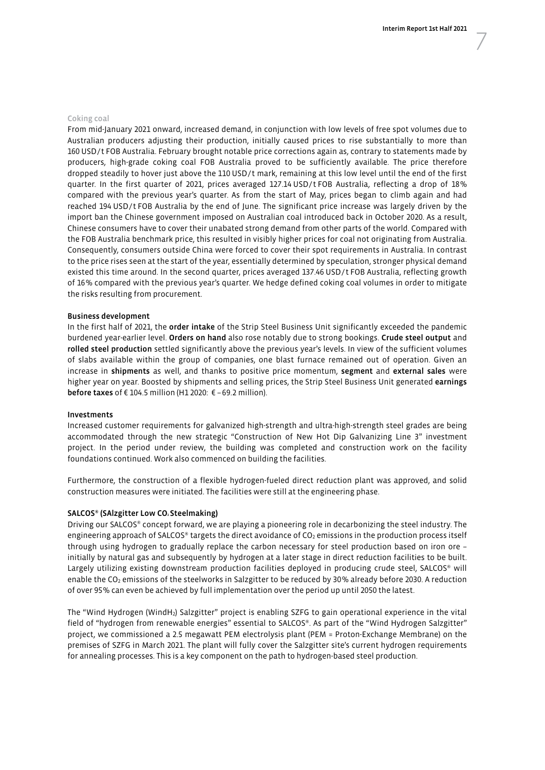#### Coking coal

From mid-January 2021 onward, increased demand, in conjunction with low levels of free spot volumes due to Australian producers adjusting their production, initially caused prices to rise substantially to more than 160 USD/t FOB Australia. February brought notable price corrections again as, contrary to statements made by producers, high-grade coking coal FOB Australia proved to be sufficiently available. The price therefore dropped steadily to hover just above the 110 USD/t mark, remaining at this low level until the end of the first quarter. In the first quarter of 2021, prices averaged 127.14 USD/t FOB Australia, reflecting a drop of 18% compared with the previous year's quarter. As from the start of May, prices began to climb again and had reached 194 USD/t FOB Australia by the end of June. The significant price increase was largely driven by the import ban the Chinese government imposed on Australian coal introduced back in October 2020. As a result, Chinese consumers have to cover their unabated strong demand from other parts of the world. Compared with the FOB Australia benchmark price, this resulted in visibly higher prices for coal not originating from Australia. Consequently, consumers outside China were forced to cover their spot requirements in Australia. In contrast to the price rises seen at the start of the year, essentially determined by speculation, stronger physical demand existed this time around. In the second quarter, prices averaged 137.46 USD/t FOB Australia, reflecting growth of 16% compared with the previous year's quarter. We hedge defined coking coal volumes in order to mitigate the risks resulting from procurement.

#### Business development

In the first half of 2021, the order intake of the Strip Steel Business Unit significantly exceeded the pandemic burdened year-earlier level. Orders on hand also rose notably due to strong bookings. Crude steel output and rolled steel production settled significantly above the previous year's levels. In view of the sufficient volumes of slabs available within the group of companies, one blast furnace remained out of operation. Given an increase in shipments as well, and thanks to positive price momentum, segment and external sales were higher year on year. Boosted by shipments and selling prices, the Strip Steel Business Unit generated earnings before taxes of € 104.5 million (H1 2020:  $∈$  -69.2 million).

#### Investments

Increased customer requirements for galvanized high-strength and ultra-high-strength steel grades are being accommodated through the new strategic "Construction of New Hot Dip Galvanizing Line 3" investment project. In the period under review, the building was completed and construction work on the facility foundations continued. Work also commenced on building the facilities.

Furthermore, the construction of a flexible hydrogen-fueled direct reduction plant was approved, and solid construction measures were initiated. The facilities were still at the engineering phase.

#### SALCOS® (SAlzgitter Low CO2 Steelmaking)

Driving our SALCOS® concept forward, we are playing a pioneering role in decarbonizing the steel industry. The engineering approach of SALCOS® targets the direct avoidance of  $CO<sub>2</sub>$  emissions in the production process itself through using hydrogen to gradually replace the carbon necessary for steel production based on iron ore – initially by natural gas and subsequently by hydrogen at a later stage in direct reduction facilities to be built. Largely utilizing existing downstream production facilities deployed in producing crude steel, SALCOS® will enable the CO<sub>2</sub> emissions of the steelworks in Salzgitter to be reduced by 30% already before 2030. A reduction of over 95% can even be achieved by full implementation over the period up until 2050 the latest.

The "Wind Hydrogen (WindH<sub>2</sub>) Salzgitter" project is enabling SZFG to gain operational experience in the vital field of "hydrogen from renewable energies" essential to SALCOS®. As part of the "Wind Hydrogen Salzgitter" project, we commissioned a 2.5 megawatt PEM electrolysis plant (PEM = Proton-Exchange Membrane) on the premises of SZFG in March 2021. The plant will fully cover the Salzgitter site's current hydrogen requirements for annealing processes. This is a key component on the path to hydrogen-based steel production.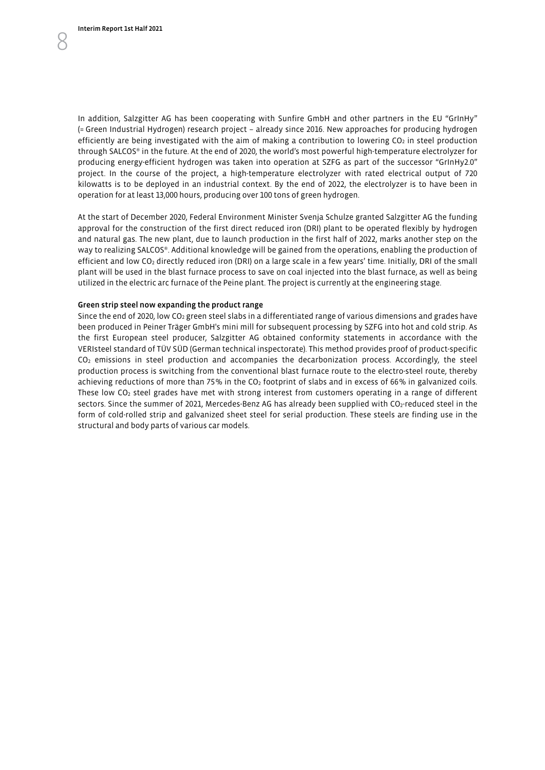In addition, Salzgitter AG has been cooperating with Sunfire GmbH and other partners in the EU "GrInHy" (= Green Industrial Hydrogen) research project – already since 2016. New approaches for producing hydrogen efficiently are being investigated with the aim of making a contribution to lowering CO<sub>2</sub> in steel production through SALCOS® in the future. At the end of 2020, the world's most powerful high-temperature electrolyzer for producing energy-efficient hydrogen was taken into operation at SZFG as part of the successor "GrInHy2.0" project. In the course of the project, a high-temperature electrolyzer with rated electrical output of 720 kilowatts is to be deployed in an industrial context. By the end of 2022, the electrolyzer is to have been in operation for at least 13,000 hours, producing over 100 tons of green hydrogen.

At the start of December 2020, Federal Environment Minister Svenja Schulze granted Salzgitter AG the funding approval for the construction of the first direct reduced iron (DRI) plant to be operated flexibly by hydrogen and natural gas. The new plant, due to launch production in the first half of 2022, marks another step on the way to realizing SALCOS®. Additional knowledge will be gained from the operations, enabling the production of efficient and low CO2 directly reduced iron (DRI) on a large scale in a few years' time. Initially, DRI of the small plant will be used in the blast furnace process to save on coal injected into the blast furnace, as well as being utilized in the electric arc furnace of the Peine plant. The project is currently at the engineering stage.

#### Green strip steel now expanding the product range

Since the end of 2020, low CO<sub>2</sub> green steel slabs in a differentiated range of various dimensions and grades have been produced in Peiner Träger GmbH's mini mill for subsequent processing by SZFG into hot and cold strip. As the first European steel producer, Salzgitter AG obtained conformity statements in accordance with the VERIsteel standard of TÜV SÜD (German technical inspectorate). This method provides proof of product-specific CO2 emissions in steel production and accompanies the decarbonization process. Accordingly, the steel production process is switching from the conventional blast furnace route to the electro-steel route, thereby achieving reductions of more than 75% in the CO<sub>2</sub> footprint of slabs and in excess of 66% in galvanized coils. These low  $CO<sub>2</sub>$  steel grades have met with strong interest from customers operating in a range of different sectors. Since the summer of 2021, Mercedes-Benz AG has already been supplied with CO<sub>2</sub>-reduced steel in the form of cold-rolled strip and galvanized sheet steel for serial production. These steels are finding use in the structural and body parts of various car models.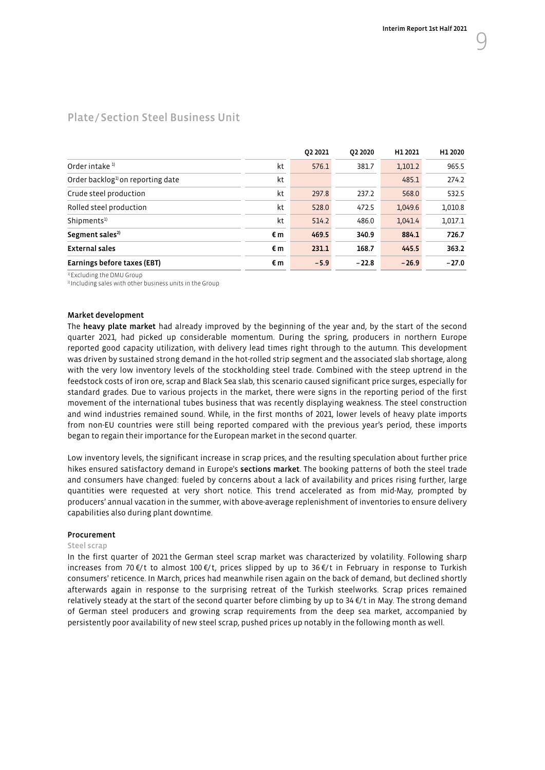|                                              |    | 02 2021 | 02 20 20 | H1 2021 | H1 2020 |
|----------------------------------------------|----|---------|----------|---------|---------|
| Order intake <sup>1)</sup>                   | kt | 576.1   | 381.7    | 1,101.2 | 965.5   |
| Order backlog <sup>1</sup> on reporting date | kt |         |          | 485.1   | 274.2   |
| Crude steel production                       | kt | 297.8   | 237.2    | 568.0   | 532.5   |
| Rolled steel production                      | kt | 528.0   | 472.5    | 1.049.6 | 1,010.8 |
| Shipments <sup>1)</sup>                      | kt | 514.2   | 486.0    | 1,041.4 | 1,017.1 |
| Segment sales <sup>2)</sup>                  | €m | 469.5   | 340.9    | 884.1   | 726.7   |
| <b>External sales</b>                        | €m | 231.1   | 168.7    | 445.5   | 363.2   |
| Earnings before taxes (EBT)                  | €m | $-5.9$  | $-22.8$  | $-26.9$ | $-27.0$ |

# <span id="page-10-0"></span>Plate/Section Steel Business Unit

<sup>1)</sup> Excluding the DMU Group

2) Including sales with other business units in the Group

#### Market development

The heavy plate market had already improved by the beginning of the year and, by the start of the second quarter 2021, had picked up considerable momentum. During the spring, producers in northern Europe reported good capacity utilization, with delivery lead times right through to the autumn. This development was driven by sustained strong demand in the hot-rolled strip segment and the associated slab shortage, along with the very low inventory levels of the stockholding steel trade. Combined with the steep uptrend in the feedstock costs of iron ore, scrap and Black Sea slab, this scenario caused significant price surges, especially for standard grades. Due to various projects in the market, there were signs in the reporting period of the first movement of the international tubes business that was recently displaying weakness. The steel construction and wind industries remained sound. While, in the first months of 2021, lower levels of heavy plate imports from non-EU countries were still being reported compared with the previous year's period, these imports began to regain their importance for the European market in the second quarter.

Low inventory levels, the significant increase in scrap prices, and the resulting speculation about further price hikes ensured satisfactory demand in Europe's sections market. The booking patterns of both the steel trade and consumers have changed: fueled by concerns about a lack of availability and prices rising further, large quantities were requested at very short notice. This trend accelerated as from mid-May, prompted by producers' annual vacation in the summer, with above-average replenishment of inventories to ensure delivery capabilities also during plant downtime.

#### Procurement

#### Steel scrap

In the first quarter of 2021 the German steel scrap market was characterized by volatility. Following sharp increases from 70  $\notin$ /t to almost 100  $\notin$ /t, prices slipped by up to 36 $\notin$ /t in February in response to Turkish consumers' reticence. In March, prices had meanwhile risen again on the back of demand, but declined shortly afterwards again in response to the surprising retreat of the Turkish steelworks. Scrap prices remained relatively steady at the start of the second quarter before climbing by up to 34 €/t in May. The strong demand of German steel producers and growing scrap requirements from the deep sea market, accompanied by persistently poor availability of new steel scrap, pushed prices up notably in the following month as well.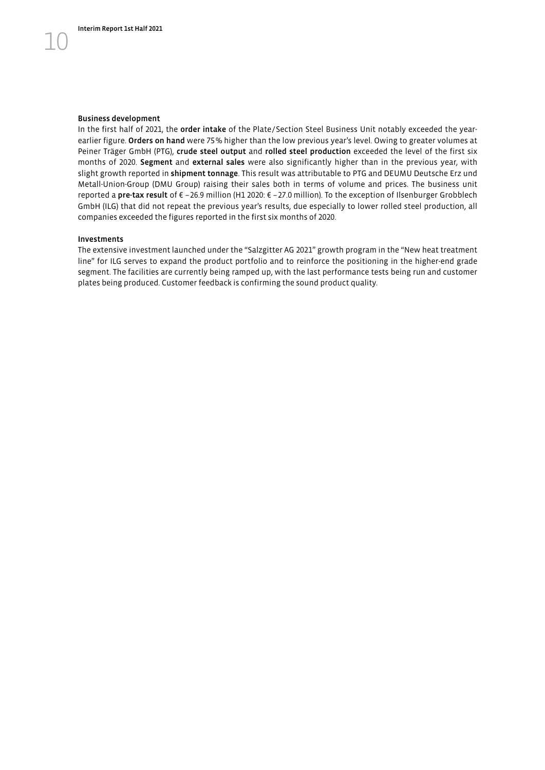#### Business development

In the first half of 2021, the order intake of the Plate/Section Steel Business Unit notably exceeded the yearearlier figure. Orders on hand were 75% higher than the low previous year's level. Owing to greater volumes at Peiner Träger GmbH (PTG), crude steel output and rolled steel production exceeded the level of the first six months of 2020. Segment and external sales were also significantly higher than in the previous year, with slight growth reported in shipment tonnage. This result was attributable to PTG and DEUMU Deutsche Erz und Metall-Union-Group (DMU Group) raising their sales both in terms of volume and prices. The business unit reported a pre-tax result of € –26.9 million (H1 2020: € –27.0 million). To the exception of Ilsenburger Grobblech GmbH (ILG) that did not repeat the previous year's results, due especially to lower rolled steel production, all companies exceeded the figures reported in the first six months of 2020.

#### Investments

The extensive investment launched under the "Salzgitter AG 2021" growth program in the "New heat treatment line" for ILG serves to expand the product portfolio and to reinforce the positioning in the higher-end grade segment. The facilities are currently being ramped up, with the last performance tests being run and customer plates being produced. Customer feedback is confirming the sound product quality.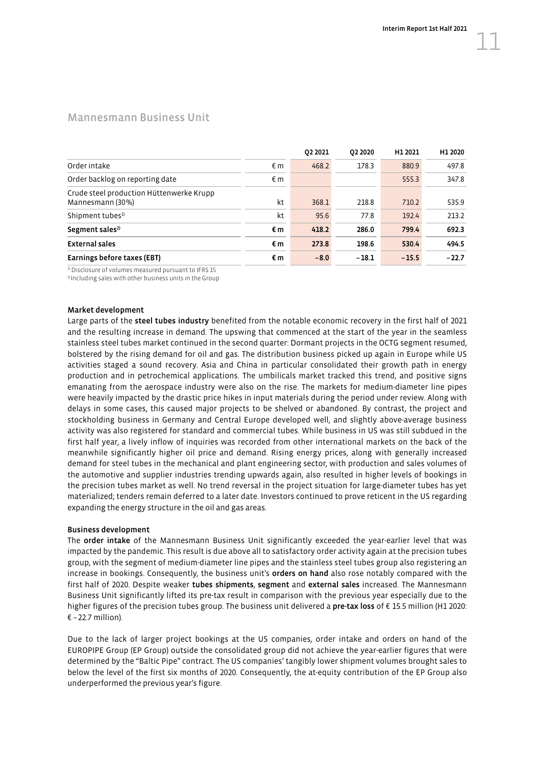### <span id="page-12-0"></span>Mannesmann Business Unit

|                                                              |    | 02 20 21 | 02 2020 | H1 2021 | H1 2020 |
|--------------------------------------------------------------|----|----------|---------|---------|---------|
| Order intake                                                 | €m | 468.2    | 178.3   | 880.9   | 497.8   |
| Order backlog on reporting date                              | €m |          |         | 555.3   | 347.8   |
| Crude steel production Hüttenwerke Krupp<br>Mannesmann (30%) | kt | 368.1    | 218.8   | 710.2   | 535.9   |
| Shipment tubes <sup>1)</sup>                                 | kt | 95.6     | 77.8    | 192.4   | 213.2   |
| Segment sales <sup>2)</sup>                                  | €m | 418.2    | 286.0   | 799.4   | 692.3   |
| <b>External sales</b>                                        | €m | 273.8    | 198.6   | 530.4   | 494.5   |
| Earnings before taxes (EBT)                                  | €m | $-8.0$   | $-18.1$ | $-15.5$ | $-22.7$ |

 $\frac{1}{2}$  Disclosure of volumes measured pursuant to IFRS 15  $\frac{2}{2}$  Including sales with other business units in the Group

#### Market development

Large parts of the steel tubes industry benefited from the notable economic recovery in the first half of 2021 and the resulting increase in demand. The upswing that commenced at the start of the year in the seamless stainless steel tubes market continued in the second quarter: Dormant projects in the OCTG segment resumed, bolstered by the rising demand for oil and gas. The distribution business picked up again in Europe while US activities staged a sound recovery. Asia and China in particular consolidated their growth path in energy production and in petrochemical applications. The umbilicals market tracked this trend, and positive signs emanating from the aerospace industry were also on the rise. The markets for medium-diameter line pipes were heavily impacted by the drastic price hikes in input materials during the period under review. Along with delays in some cases, this caused major projects to be shelved or abandoned. By contrast, the project and stockholding business in Germany and Central Europe developed well, and slightly above-average business activity was also registered for standard and commercial tubes. While business in US was still subdued in the first half year, a lively inflow of inquiries was recorded from other international markets on the back of the meanwhile significantly higher oil price and demand. Rising energy prices, along with generally increased demand for steel tubes in the mechanical and plant engineering sector, with production and sales volumes of the automotive and supplier industries trending upwards again, also resulted in higher levels of bookings in the precision tubes market as well. No trend reversal in the project situation for large-diameter tubes has yet materialized; tenders remain deferred to a later date. Investors continued to prove reticent in the US regarding expanding the energy structure in the oil and gas areas.

#### Business development

The order intake of the Mannesmann Business Unit significantly exceeded the year-earlier level that was impacted by the pandemic. This result is due above all to satisfactory order activity again at the precision tubes group, with the segment of medium-diameter line pipes and the stainless steel tubes group also registering an increase in bookings. Consequently, the business unit's orders on hand also rose notably compared with the first half of 2020. Despite weaker tubes shipments, segment and external sales increased. The Mannesmann Business Unit significantly lifted its pre-tax result in comparison with the previous year especially due to the higher figures of the precision tubes group. The business unit delivered a pre-tax loss of € 15.5 million (H1 2020:  $\epsilon$  –22.7 million).

Due to the lack of larger project bookings at the US companies, order intake and orders on hand of the EUROPIPE Group (EP Group) outside the consolidated group did not achieve the year-earlier figures that were determined by the "Baltic Pipe" contract. The US companies' tangibly lower shipment volumes brought sales to below the level of the first six months of 2020. Consequently, the at-equity contribution of the EP Group also underperformed the previous year's figure.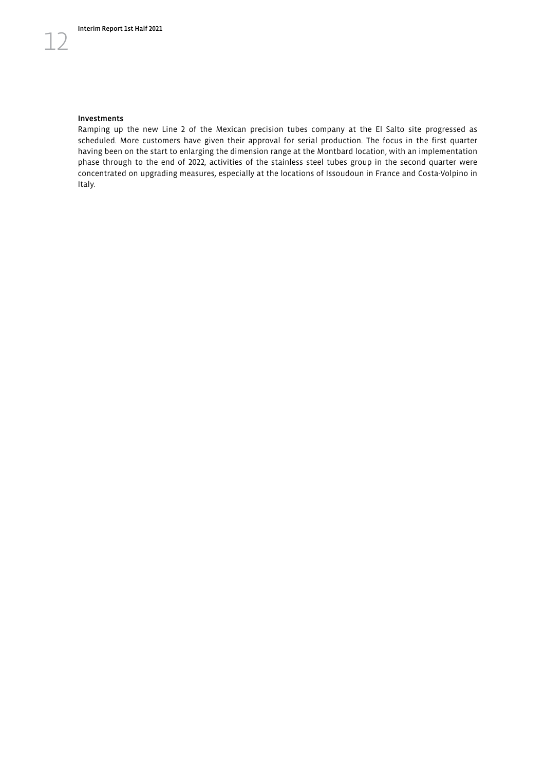#### Investments

12

Ramping up the new Line 2 of the Mexican precision tubes company at the El Salto site progressed as scheduled. More customers have given their approval for serial production. The focus in the first quarter having been on the start to enlarging the dimension range at the Montbard location, with an implementation phase through to the end of 2022, activities of the stainless steel tubes group in the second quarter were concentrated on upgrading measures, especially at the locations of Issoudoun in France and Costa-Volpino in Italy.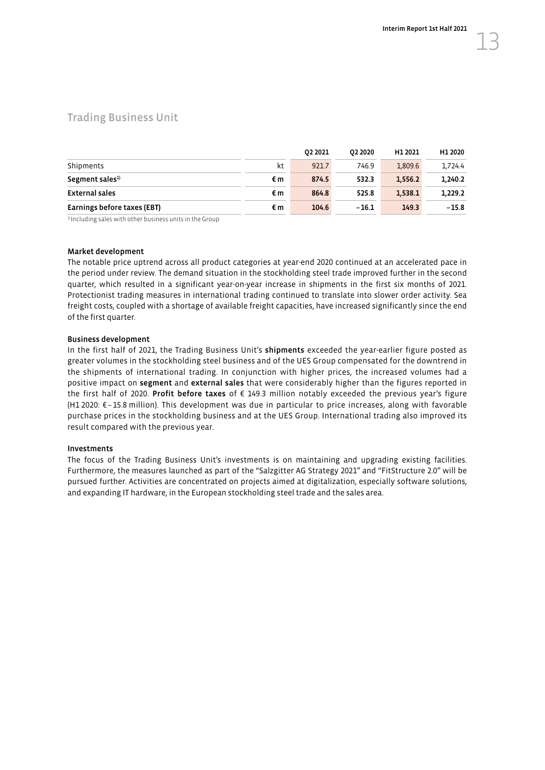## <span id="page-14-0"></span>Trading Business Unit

|                             |    | 02 2021 | 02 2020 | H1 2021 | H1 2020 |
|-----------------------------|----|---------|---------|---------|---------|
| Shipments                   | kt | 921.7   | 746.9   | 1.809.6 | 1.724.4 |
| Segment sales <sup>1)</sup> | €m | 874.5   | 532.3   | 1.556.2 | 1.240.2 |
| External sales              | €m | 864.8   | 525.8   | 1.538.1 | 1.229.2 |
| Earnings before taxes (EBT) | €m | 104.6   | $-16.1$ | 149.3   | $-15.8$ |

<sup>1)</sup> Including sales with other business units in the Group

#### Market development

The notable price uptrend across all product categories at year-end 2020 continued at an accelerated pace in the period under review. The demand situation in the stockholding steel trade improved further in the second quarter, which resulted in a significant year-on-year increase in shipments in the first six months of 2021. Protectionist trading measures in international trading continued to translate into slower order activity. Sea freight costs, coupled with a shortage of available freight capacities, have increased significantly since the end of the first quarter.

#### Business development

In the first half of 2021, the Trading Business Unit's shipments exceeded the year-earlier figure posted as greater volumes in the stockholding steel business and of the UES Group compensated for the downtrend in the shipments of international trading. In conjunction with higher prices, the increased volumes had a positive impact on segment and external sales that were considerably higher than the figures reported in the first half of 2020. Profit before taxes of € 149.3 million notably exceeded the previous year's figure (H1 2020: €–15.8 million). This development was due in particular to price increases, along with favorable purchase prices in the stockholding business and at the UES Group. International trading also improved its result compared with the previous year.

#### Investments

The focus of the Trading Business Unit's investments is on maintaining and upgrading existing facilities. Furthermore, the measures launched as part of the "Salzgitter AG Strategy 2021" and "FitStructure 2.0" will be pursued further. Activities are concentrated on projects aimed at digitalization, especially software solutions, and expanding IT hardware, in the European stockholding steel trade and the sales area.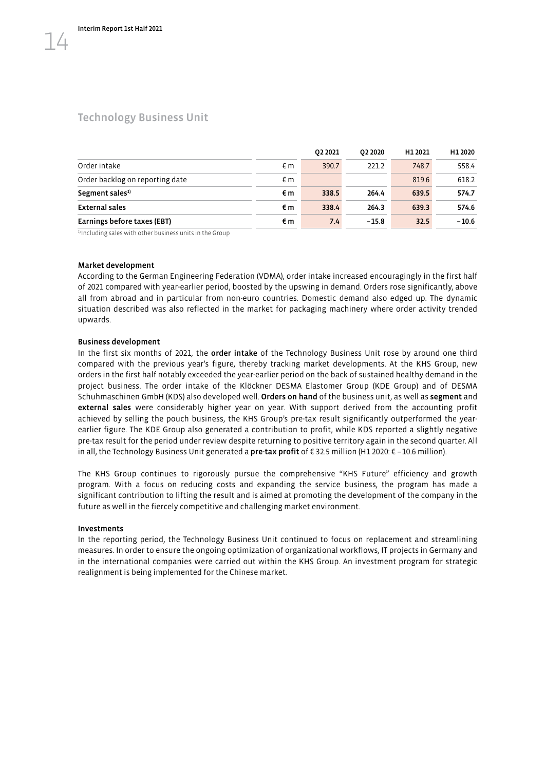## <span id="page-15-0"></span>Technology Business Unit

|                                 |    | 02 20 21 | 02 20 20 | H1 2021 | H1 2020 |
|---------------------------------|----|----------|----------|---------|---------|
| Order intake                    | €m | 390.7    | 221.2    | 748.7   | 558.4   |
| Order backlog on reporting date | €m |          |          | 819.6   | 618.2   |
| Segment sales <sup>1)</sup>     | €m | 338.5    | 264.4    | 639.5   | 574.7   |
| <b>External sales</b>           | €m | 338.4    | 264.3    | 639.3   | 574.6   |
| Earnings before taxes (EBT)     | €m | 7.4      | $-15.8$  | 32.5    | $-10.6$ |

1) Including sales with other business units in the Group

#### Market development

According to the German Engineering Federation (VDMA), order intake increased encouragingly in the first half of 2021 compared with year-earlier period, boosted by the upswing in demand. Orders rose significantly, above all from abroad and in particular from non-euro countries. Domestic demand also edged up. The dynamic situation described was also reflected in the market for packaging machinery where order activity trended upwards.

#### Business development

In the first six months of 2021, the order intake of the Technology Business Unit rose by around one third compared with the previous year's figure, thereby tracking market developments. At the KHS Group, new orders in the first half notably exceeded the year-earlier period on the back of sustained healthy demand in the project business. The order intake of the Klöckner DESMA Elastomer Group (KDE Group) and of DESMA Schuhmaschinen GmbH (KDS) also developed well. Orders on hand of the business unit, as well as segment and external sales were considerably higher year on year. With support derived from the accounting profit achieved by selling the pouch business, the KHS Group's pre-tax result significantly outperformed the yearearlier figure. The KDE Group also generated a contribution to profit, while KDS reported a slightly negative pre-tax result for the period under review despite returning to positive territory again in the second quarter. All in all, the Technology Business Unit generated a **pre-tax profit** of €32.5 million (H1 2020: € -10.6 million).

The KHS Group continues to rigorously pursue the comprehensive "KHS Future" efficiency and growth program. With a focus on reducing costs and expanding the service business, the program has made a significant contribution to lifting the result and is aimed at promoting the development of the company in the future as well in the fiercely competitive and challenging market environment.

#### Investments

In the reporting period, the Technology Business Unit continued to focus on replacement and streamlining measures. In order to ensure the ongoing optimization of organizational workflows, IT projects in Germany and in the international companies were carried out within the KHS Group. An investment program for strategic realignment is being implemented for the Chinese market.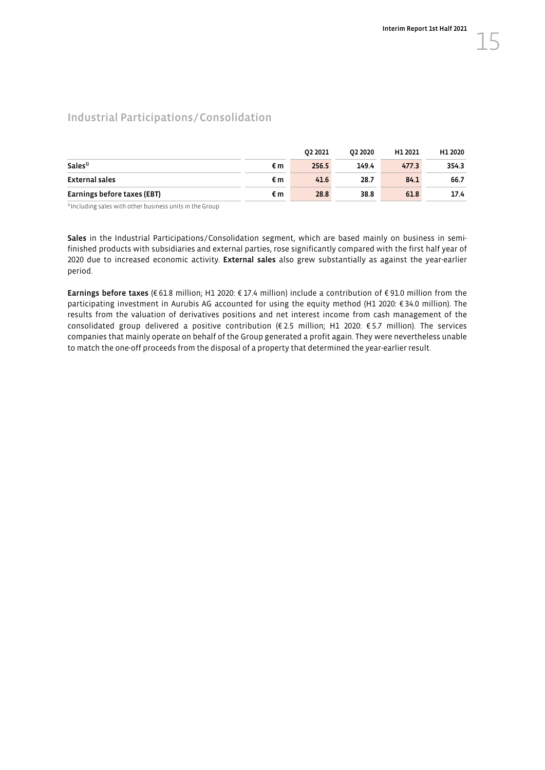# <span id="page-16-0"></span>Industrial Participations/Consolidation

|                             |    | 02 2021 | 02 2020 | H1 2021 | H1 2020 |
|-----------------------------|----|---------|---------|---------|---------|
| Sales <sup>1</sup>          | €m | 256.5   | 149.4   | 477.3   | 354.3   |
| External sales              | €m | 41.6    | 28.7    | 84.1    | 66.7    |
| Earnings before taxes (EBT) | €m | 28.8    | 38.8    | 61.8    | 17.4    |

<sup>1)</sup> Including sales with other business units in the Group

Sales in the Industrial Participations/Consolidation segment, which are based mainly on business in semifinished products with subsidiaries and external parties, rose significantly compared with the first half year of 2020 due to increased economic activity. External sales also grew substantially as against the year-earlier period.

Earnings before taxes (€ 61.8 million; H1 2020: € 17.4 million) include a contribution of € 91.0 million from the participating investment in Aurubis AG accounted for using the equity method (H1 2020: € 34.0 million). The results from the valuation of derivatives positions and net interest income from cash management of the consolidated group delivered a positive contribution (€ 2.5 million; H1 2020: € 5.7 million). The services companies that mainly operate on behalf of the Group generated a profit again. They were nevertheless unable to match the one-off proceeds from the disposal of a property that determined the year-earlier result.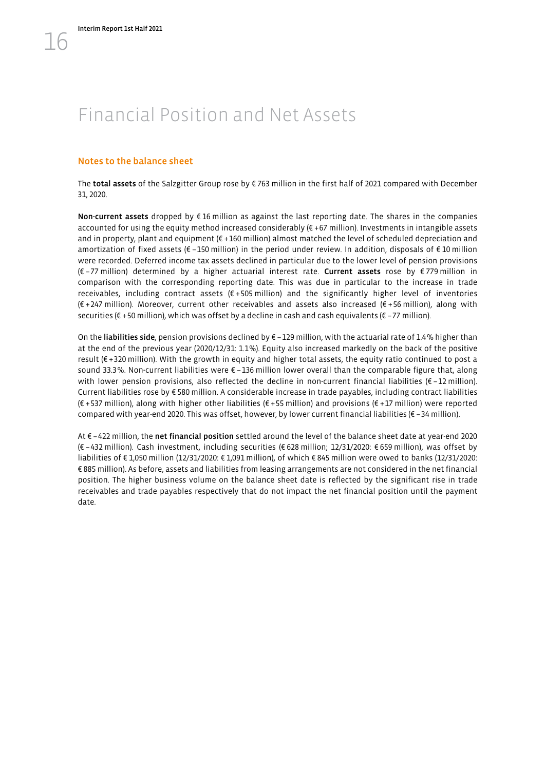# <span id="page-17-0"></span>Financial Position and Net Assets

#### Notes to the balance sheet

The total assets of the Salzgitter Group rose by € 763 million in the first half of 2021 compared with December 31, 2020.

Non-current assets dropped by €16 million as against the last reporting date. The shares in the companies accounted for using the equity method increased considerably  $(E + 67$  million). Investments in intangible assets and in property, plant and equipment (€ +160 million) almost matched the level of scheduled depreciation and amortization of fixed assets (€ –150 million) in the period under review. In addition, disposals of € 10 million were recorded. Deferred income tax assets declined in particular due to the lower level of pension provisions (€ –77 million) determined by a higher actuarial interest rate. Current assets rose by € 779 million in comparison with the corresponding reporting date. This was due in particular to the increase in trade receivables, including contract assets (€ +505 million) and the significantly higher level of inventories (€ +247 million). Moreover, current other receivables and assets also increased (€ +56 million), along with securities (€ +50 million), which was offset by a decline in cash and cash equivalents (€ –77 million).

On the liabilities side, pension provisions declined by € -129 million, with the actuarial rate of 1.4% higher than at the end of the previous year (2020/12/31: 1.1%). Equity also increased markedly on the back of the positive result (€ +320 million). With the growth in equity and higher total assets, the equity ratio continued to post a sound 33.3%. Non-current liabilities were € -136 million lower overall than the comparable figure that, along with lower pension provisions, also reflected the decline in non-current financial liabilities (€-12 million). Current liabilities rose by € 580 million. A considerable increase in trade payables, including contract liabilities (€ +537 million), along with higher other liabilities (€ +55 million) and provisions (€ +17 million) were reported compared with year-end 2020. This was offset, however, by lower current financial liabilities (€ –34 million).

At € –422 million, the net financial position settled around the level of the balance sheet date at year-end 2020 (€ –432 million). Cash investment, including securities (€ 628 million; 12/31/2020: € 659 million), was offset by liabilities of € 1,050 million (12/31/2020: € 1,091 million), of which € 845 million were owed to banks (12/31/2020: € 885 million). As before, assets and liabilities from leasing arrangements are not considered in the net financial position. The higher business volume on the balance sheet date is reflected by the significant rise in trade receivables and trade payables respectively that do not impact the net financial position until the payment date.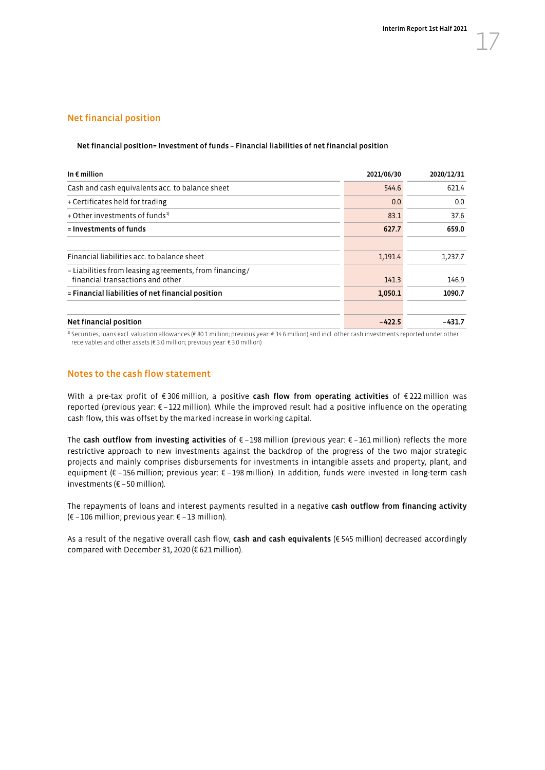#### Net financial position

#### Net financial position= Investment of funds – Financial liabilities of net financial position

| 2021/06/30 | 2020/12/31 |
|------------|------------|
| 544.6      | 621.4      |
| 0.0        | 0.0        |
| 83.1       | 37.6       |
| 627.7      | 659.0      |
|            |            |
| 1,191.4    | 1,237.7    |
| 141.3      | 146.9      |
| 1,050.1    | 1090.7     |
|            |            |
| $-422.5$   | $-431.7$   |
|            |            |

1) Securities, loans excl. valuation allowances (€ 80.1 million; previous year: € 34.6 million) and incl. other cash investments reported under other receivables and other assets (€ 3.0 million; previous year: € 3.0 million)

#### Notes to the cash flow statement

With a pre-tax profit of €306 million, a positive cash flow from operating activities of €222 million was reported (previous year: € –122 million). While the improved result had a positive influence on the operating cash flow, this was offset by the marked increase in working capital.

The cash outflow from investing activities of € –198 million (previous year: € –161 million) reflects the more restrictive approach to new investments against the backdrop of the progress of the two major strategic projects and mainly comprises disbursements for investments in intangible assets and property, plant, and equipment (€ –156 million; previous year: € –198 million). In addition, funds were invested in long-term cash investments (€ –50 million).

The repayments of loans and interest payments resulted in a negative cash outflow from financing activity (€ –106 million; previous year: € –13 million).

As a result of the negative overall cash flow, cash and cash equivalents ( $\epsilon$  545 million) decreased accordingly compared with December 31, 2020 (€ 621 million).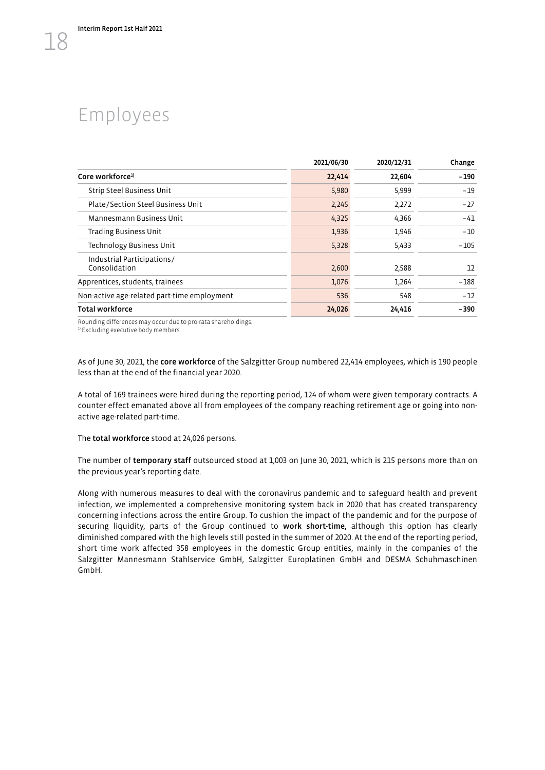# <span id="page-19-0"></span>Employees

| 2021/06/30<br>2020/12/31                    |        |        |        |  |  |
|---------------------------------------------|--------|--------|--------|--|--|
| Core workforce <sup>1)</sup>                | 22,414 | 22,604 | - 190  |  |  |
| Strip Steel Business Unit                   | 5,980  | 5,999  | $-19$  |  |  |
| Plate/Section Steel Business Unit           | 2,245  | 2,272  | $-27$  |  |  |
| Mannesmann Business Unit                    | 4,325  | 4,366  | $-41$  |  |  |
| <b>Trading Business Unit</b>                | 1,936  | 1,946  | $-10$  |  |  |
| Technology Business Unit                    | 5,328  | 5,433  | $-105$ |  |  |
| Industrial Participations/<br>Consolidation | 2,600  | 2,588  | 12     |  |  |
| Apprentices, students, trainees             | 1,076  | 1,264  | $-188$ |  |  |
| Non-active age-related part-time employment | 536    | 548    | $-12$  |  |  |
| <b>Total workforce</b>                      | 24,026 | 24,416 | -390   |  |  |

Rounding differences may occur due to pro-rata shareholdings.<br><sup>1)</sup> Excluding executive body members

As of June 30, 2021, the core workforce of the Salzgitter Group numbered 22,414 employees, which is 190 people less than at the end of the financial year 2020.

A total of 169 trainees were hired during the reporting period, 124 of whom were given temporary contracts. A counter effect emanated above all from employees of the company reaching retirement age or going into nonactive age-related part-time.

The total workforce stood at 24,026 persons.

The number of temporary staff outsourced stood at 1,003 on June 30, 2021, which is 215 persons more than on the previous year's reporting date.

Along with numerous measures to deal with the coronavirus pandemic and to safeguard health and prevent infection, we implemented a comprehensive monitoring system back in 2020 that has created transparency concerning infections across the entire Group. To cushion the impact of the pandemic and for the purpose of securing liquidity, parts of the Group continued to work short-time, although this option has clearly diminished compared with the high levels still posted in the summer of 2020. At the end of the reporting period, short time work affected 358 employees in the domestic Group entities, mainly in the companies of the Salzgitter Mannesmann Stahlservice GmbH, Salzgitter Europlatinen GmbH and DESMA Schuhmaschinen GmbH.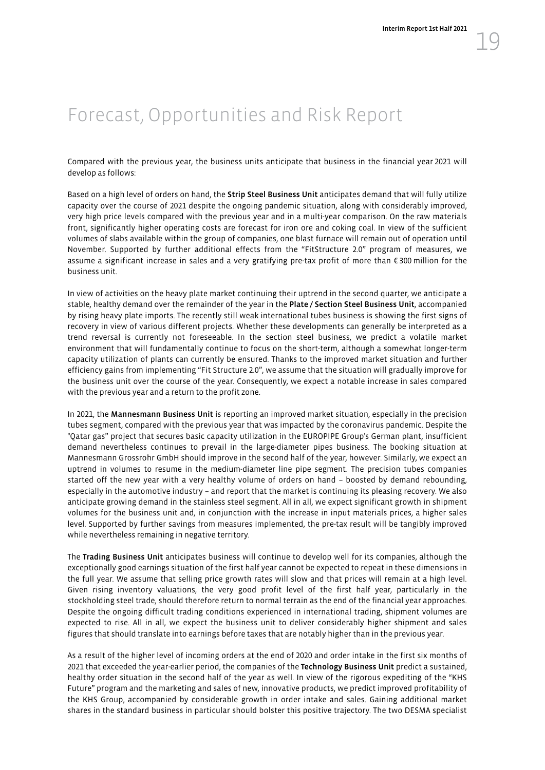# <span id="page-20-0"></span>Forecast, Opportunities and Risk Report

Compared with the previous year, the business units anticipate that business in the financial year 2021 will develop as follows:

Based on a high level of orders on hand, the Strip Steel Business Unit anticipates demand that will fully utilize capacity over the course of 2021 despite the ongoing pandemic situation, along with considerably improved, very high price levels compared with the previous year and in a multi-year comparison. On the raw materials front, significantly higher operating costs are forecast for iron ore and coking coal. In view of the sufficient volumes of slabs available within the group of companies, one blast furnace will remain out of operation until November. Supported by further additional effects from the "FitStructure 2.0" program of measures, we assume a significant increase in sales and a very gratifying pre-tax profit of more than € 300 million for the business unit.

In view of activities on the heavy plate market continuing their uptrend in the second quarter, we anticipate a stable, healthy demand over the remainder of the year in the Plate / Section Steel Business Unit, accompanied by rising heavy plate imports. The recently still weak international tubes business is showing the first signs of recovery in view of various different projects. Whether these developments can generally be interpreted as a trend reversal is currently not foreseeable. In the section steel business, we predict a volatile market environment that will fundamentally continue to focus on the short-term, although a somewhat longer-term capacity utilization of plants can currently be ensured. Thanks to the improved market situation and further efficiency gains from implementing "Fit Structure 2.0", we assume that the situation will gradually improve for the business unit over the course of the year. Consequently, we expect a notable increase in sales compared with the previous year and a return to the profit zone.

In 2021, the Mannesmann Business Unit is reporting an improved market situation, especially in the precision tubes segment, compared with the previous year that was impacted by the coronavirus pandemic. Despite the "Qatar gas" project that secures basic capacity utilization in the EUROPIPE Group's German plant, insufficient demand nevertheless continues to prevail in the large-diameter pipes business. The booking situation at Mannesmann Grossrohr GmbH should improve in the second half of the year, however. Similarly, we expect an uptrend in volumes to resume in the medium-diameter line pipe segment. The precision tubes companies started off the new year with a very healthy volume of orders on hand – boosted by demand rebounding, especially in the automotive industry – and report that the market is continuing its pleasing recovery. We also anticipate growing demand in the stainless steel segment. All in all, we expect significant growth in shipment volumes for the business unit and, in conjunction with the increase in input materials prices, a higher sales level. Supported by further savings from measures implemented, the pre-tax result will be tangibly improved while nevertheless remaining in negative territory.

The Trading Business Unit anticipates business will continue to develop well for its companies, although the exceptionally good earnings situation of the first half year cannot be expected to repeat in these dimensions in the full year. We assume that selling price growth rates will slow and that prices will remain at a high level. Given rising inventory valuations, the very good profit level of the first half year, particularly in the stockholding steel trade, should therefore return to normal terrain as the end of the financial year approaches. Despite the ongoing difficult trading conditions experienced in international trading, shipment volumes are expected to rise. All in all, we expect the business unit to deliver considerably higher shipment and sales figures that should translate into earnings before taxes that are notably higher than in the previous year.

As a result of the higher level of incoming orders at the end of 2020 and order intake in the first six months of 2021 that exceeded the year-earlier period, the companies of the Technology Business Unit predict a sustained, healthy order situation in the second half of the year as well. In view of the rigorous expediting of the "KHS Future" program and the marketing and sales of new, innovative products, we predict improved profitability of the KHS Group, accompanied by considerable growth in order intake and sales. Gaining additional market shares in the standard business in particular should bolster this positive trajectory. The two DESMA specialist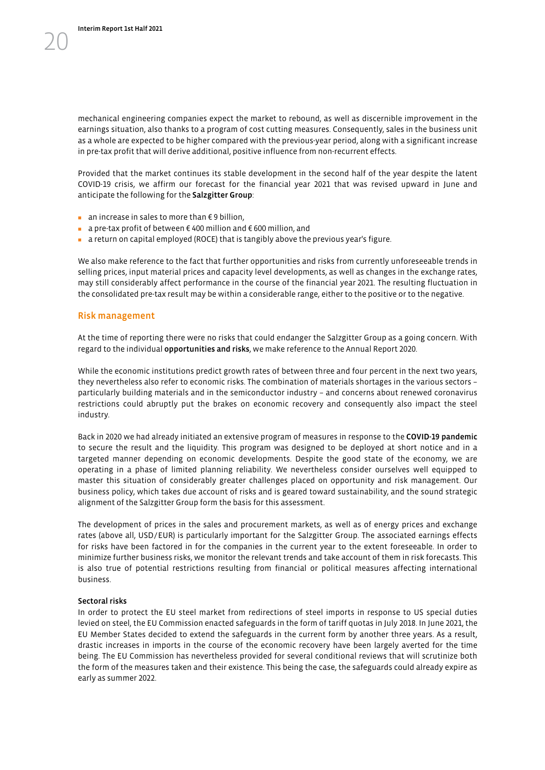mechanical engineering companies expect the market to rebound, as well as discernible improvement in the earnings situation, also thanks to a program of cost cutting measures. Consequently, sales in the business unit as a whole are expected to be higher compared with the previous-year period, along with a significant increase in pre-tax profit that will derive additional, positive influence from non-recurrent effects.

Provided that the market continues its stable development in the second half of the year despite the latent COVID-19 crisis, we affirm our forecast for the financial year 2021 that was revised upward in June and anticipate the following for the Salzgitter Group:

- an increase in sales to more than €9 billion,
- a pre-tax profit of between € 400 million and € 600 million, and
- a return on capital employed (ROCE) that is tangibly above the previous year's figure.

We also make reference to the fact that further opportunities and risks from currently unforeseeable trends in selling prices, input material prices and capacity level developments, as well as changes in the exchange rates, may still considerably affect performance in the course of the financial year 2021. The resulting fluctuation in the consolidated pre-tax result may be within a considerable range, either to the positive or to the negative.

#### Risk management

At the time of reporting there were no risks that could endanger the Salzgitter Group as a going concern. With regard to the individual opportunities and risks, we make reference to the Annual Report 2020.

While the economic institutions predict growth rates of between three and four percent in the next two years, they nevertheless also refer to economic risks. The combination of materials shortages in the various sectors – particularly building materials and in the semiconductor industry – and concerns about renewed coronavirus restrictions could abruptly put the brakes on economic recovery and consequently also impact the steel industry.

Back in 2020 we had already initiated an extensive program of measures in response to the COVID-19 pandemic to secure the result and the liquidity. This program was designed to be deployed at short notice and in a targeted manner depending on economic developments. Despite the good state of the economy, we are operating in a phase of limited planning reliability. We nevertheless consider ourselves well equipped to master this situation of considerably greater challenges placed on opportunity and risk management. Our business policy, which takes due account of risks and is geared toward sustainability, and the sound strategic alignment of the Salzgitter Group form the basis for this assessment.

The development of prices in the sales and procurement markets, as well as of energy prices and exchange rates (above all, USD/EUR) is particularly important for the Salzgitter Group. The associated earnings effects for risks have been factored in for the companies in the current year to the extent foreseeable. In order to minimize further business risks, we monitor the relevant trends and take account of them in risk forecasts. This is also true of potential restrictions resulting from financial or political measures affecting international business.

#### Sectoral risks

In order to protect the EU steel market from redirections of steel imports in response to US special duties levied on steel, the EU Commission enacted safeguards in the form of tariff quotas in July 2018. In June 2021, the EU Member States decided to extend the safeguards in the current form by another three years. As a result, drastic increases in imports in the course of the economic recovery have been largely averted for the time being. The EU Commission has nevertheless provided for several conditional reviews that will scrutinize both the form of the measures taken and their existence. This being the case, the safeguards could already expire as early as summer 2022.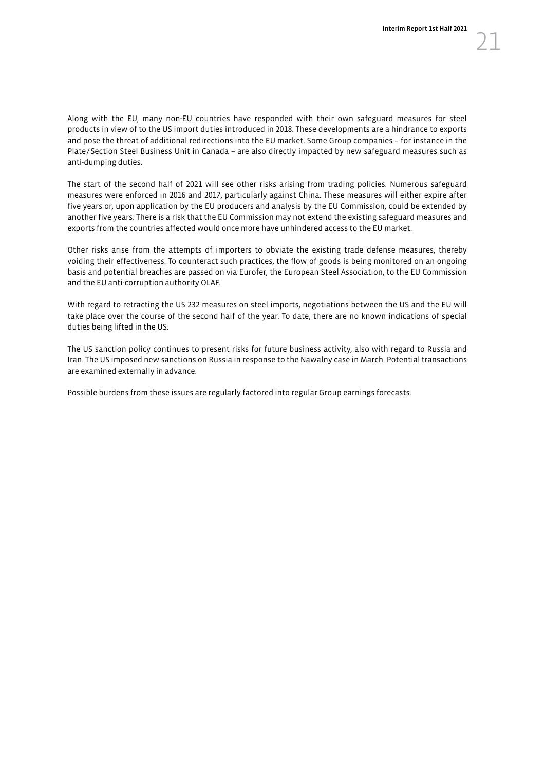Along with the EU, many non-EU countries have responded with their own safeguard measures for steel products in view of to the US import duties introduced in 2018. These developments are a hindrance to exports and pose the threat of additional redirections into the EU market. Some Group companies – for instance in the Plate/Section Steel Business Unit in Canada – are also directly impacted by new safeguard measures such as anti-dumping duties.

The start of the second half of 2021 will see other risks arising from trading policies. Numerous safeguard measures were enforced in 2016 and 2017, particularly against China. These measures will either expire after five years or, upon application by the EU producers and analysis by the EU Commission, could be extended by another five years. There is a risk that the EU Commission may not extend the existing safeguard measures and exports from the countries affected would once more have unhindered access to the EU market.

Other risks arise from the attempts of importers to obviate the existing trade defense measures, thereby voiding their effectiveness. To counteract such practices, the flow of goods is being monitored on an ongoing basis and potential breaches are passed on via Eurofer, the European Steel Association, to the EU Commission and the EU anti-corruption authority OLAF.

With regard to retracting the US 232 measures on steel imports, negotiations between the US and the EU will take place over the course of the second half of the year. To date, there are no known indications of special duties being lifted in the US.

The US sanction policy continues to present risks for future business activity, also with regard to Russia and Iran. The US imposed new sanctions on Russia in response to the Nawalny case in March. Potential transactions are examined externally in advance.

Possible burdens from these issues are regularly factored into regular Group earnings forecasts.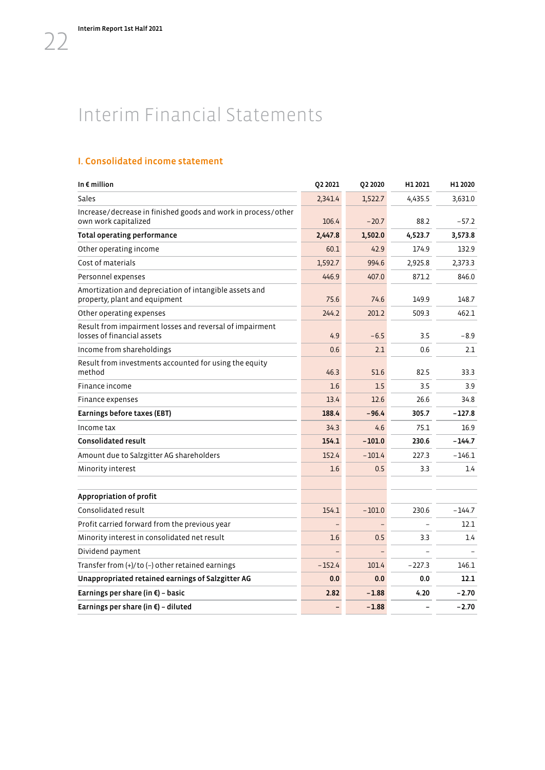# <span id="page-23-0"></span>Interim Financial Statements

## I. Consolidated income statement

| In $\epsilon$ million                                                                   | Q2 2021  | Q2 2020  | H1 2021  | H1 2020  |
|-----------------------------------------------------------------------------------------|----------|----------|----------|----------|
| Sales                                                                                   | 2,341.4  | 1,522.7  | 4.435.5  | 3,631.0  |
| Increase/decrease in finished goods and work in process/other<br>own work capitalized   | 106.4    | $-20.7$  | 88.2     | $-57.2$  |
| <b>Total operating performance</b>                                                      | 2.447.8  | 1,502.0  | 4,523.7  | 3,573.8  |
| Other operating income                                                                  | 60.1     | 42.9     | 174.9    | 132.9    |
| Cost of materials                                                                       | 1,592.7  | 994.6    | 2,925.8  | 2,373.3  |
| Personnel expenses                                                                      | 446.9    | 407.0    | 871.2    | 846.0    |
| Amortization and depreciation of intangible assets and<br>property, plant and equipment | 75.6     | 74.6     | 149.9    | 148.7    |
| Other operating expenses                                                                | 244.2    | 201.2    | 509.3    | 462.1    |
| Result from impairment losses and reversal of impairment<br>losses of financial assets  | 4.9      | $-6.5$   | 3.5      | $-8.9$   |
| Income from shareholdings                                                               | 0.6      | 2.1      | 0.6      | 2.1      |
| Result from investments accounted for using the equity<br>method                        | 46.3     | 51.6     | 82.5     | 33.3     |
| Finance income                                                                          | 1.6      | 1.5      | 3.5      | 3.9      |
| Finance expenses                                                                        | 13.4     | 12.6     | 26.6     | 34.8     |
| Earnings before taxes (EBT)                                                             | 188.4    | $-96.4$  | 305.7    | $-127.8$ |
| Income tax                                                                              | 34.3     | 4.6      | 75.1     | 16.9     |
| <b>Consolidated result</b>                                                              | 154.1    | $-101.0$ | 230.6    | $-144.7$ |
| Amount due to Salzgitter AG shareholders                                                | 152.4    | $-101.4$ | 227.3    | $-146.1$ |
| Minority interest                                                                       | 1.6      | 0.5      | 3.3      | 1.4      |
|                                                                                         |          |          |          |          |
| Appropriation of profit                                                                 |          |          |          |          |
| Consolidated result                                                                     | 154.1    | $-101.0$ | 230.6    | $-144.7$ |
| Profit carried forward from the previous year                                           |          |          |          | 12.1     |
| Minority interest in consolidated net result                                            | 1.6      | 0.5      | 3.3      | 1.4      |
| Dividend payment                                                                        |          |          |          |          |
| Transfer from $(+)/$ to $(-)$ other retained earnings                                   | $-152.4$ | 101.4    | $-227.3$ | 146.1    |
| Unappropriated retained earnings of Salzgitter AG                                       | 0.0      | 0.0      | 0.0      | 12.1     |
| Earnings per share (in $\xi$ ) - basic                                                  | 2.82     | $-1.88$  | 4.20     | $-2.70$  |
| Earnings per share (in $\xi$ ) - diluted                                                |          | $-1.88$  |          | $-2.70$  |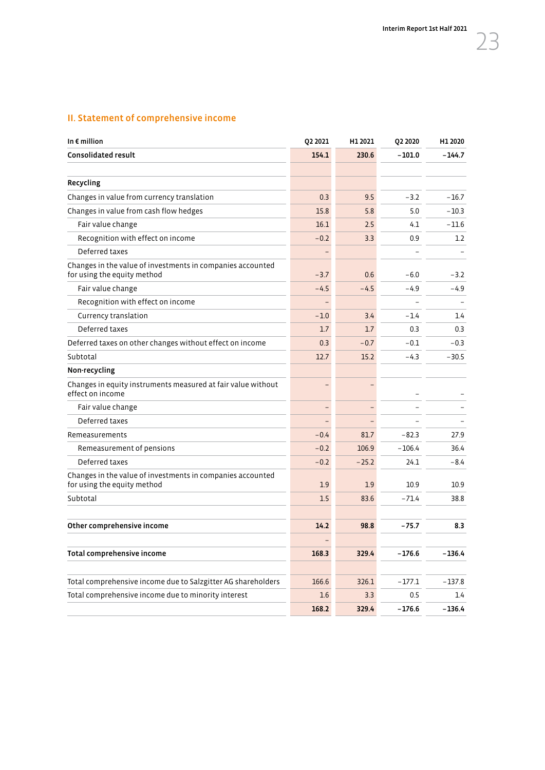# II. Statement of comprehensive income

| In $\epsilon$ million                                                                     | Q2 2021                  | H1 2021 | Q2 2020  | H1 2020  |
|-------------------------------------------------------------------------------------------|--------------------------|---------|----------|----------|
| <b>Consolidated result</b>                                                                | 154.1                    | 230.6   | $-101.0$ | $-144.7$ |
|                                                                                           |                          |         |          |          |
| Recycling                                                                                 |                          |         |          |          |
| Changes in value from currency translation                                                | 0.3                      | 9.5     | $-3.2$   | $-16.7$  |
| Changes in value from cash flow hedges                                                    | 15.8                     | 5.8     | 5.0      | $-10.3$  |
| Fair value change                                                                         | 16.1                     | 2.5     | 4.1      | $-11.6$  |
| Recognition with effect on income                                                         | $-0.2$                   | 3.3     | 0.9      | 1.2      |
| Deferred taxes                                                                            |                          |         |          |          |
| Changes in the value of investments in companies accounted<br>for using the equity method | $-3.7$                   | 0.6     | $-6.0$   | $-3.2$   |
| Fair value change                                                                         | $-4.5$                   | $-4.5$  | $-4.9$   | -4.9     |
| Recognition with effect on income                                                         | $\overline{\phantom{0}}$ |         |          |          |
| Currency translation                                                                      | $-1.0$                   | 3.4     | $-1.4$   | 1.4      |
| Deferred taxes                                                                            | 1.7                      | 1.7     | 0.3      | 0.3      |
| Deferred taxes on other changes without effect on income                                  | 0.3                      | $-0.7$  | $-0.1$   | $-0.3$   |
| Subtotal                                                                                  | 12.7                     | 15.2    | $-4.3$   | $-30.5$  |
| Non-recycling                                                                             |                          |         |          |          |
| Changes in equity instruments measured at fair value without<br>effect on income          |                          |         |          |          |
| Fair value change                                                                         | $\overline{a}$           |         |          |          |
| Deferred taxes                                                                            |                          |         |          |          |
| Remeasurements                                                                            | $-0.4$                   | 81.7    | $-82.3$  | 27.9     |
| Remeasurement of pensions                                                                 | $-0.2$                   | 106.9   | $-106.4$ | 36.4     |
| Deferred taxes                                                                            | $-0.2$                   | $-25.2$ | 24.1     | $-8.4$   |
| Changes in the value of investments in companies accounted<br>for using the equity method | 1.9                      | 1.9     | 10.9     | 10.9     |
| Subtotal                                                                                  | 1.5                      | 83.6    | $-71.4$  | 38.8     |
|                                                                                           |                          |         |          |          |
| Other comprehensive income                                                                | 14.2                     | 98.8    | $-75.7$  | 8.3      |
|                                                                                           |                          |         |          |          |
| Total comprehensive income                                                                | 168.3                    | 329.4   | $-176.6$ | $-136.4$ |
|                                                                                           |                          |         |          |          |
| Total comprehensive income due to Salzgitter AG shareholders                              | 166.6                    | 326.1   | $-177.1$ | $-137.8$ |
| Total comprehensive income due to minority interest                                       | 1.6                      | 3.3     | 0.5      | 1.4      |
|                                                                                           | 168.2                    | 329.4   | $-176.6$ | $-136.4$ |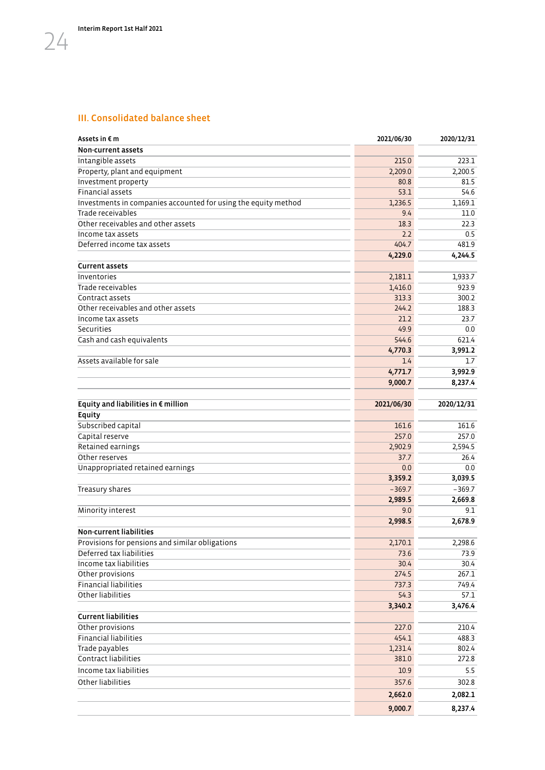## III. Consolidated balance sheet

| Assets in $\epsilon$ m                                         | 2021/06/30 | 2020/12/31 |
|----------------------------------------------------------------|------------|------------|
| Non-current assets                                             |            |            |
| Intangible assets                                              | 215.0      | 223.1      |
| Property, plant and equipment                                  | 2,209.0    | 2,200.5    |
| Investment property                                            | 80.8       | 81.5       |
| <b>Financial assets</b>                                        | 53.1       | 54.6       |
| Investments in companies accounted for using the equity method | 1,236.5    | 1,169.1    |
| Trade receivables                                              | 9.4        | 11.0       |
| Other receivables and other assets                             | 18.3       | 22.3       |
| Income tax assets                                              | 2.2        | 0.5        |
| Deferred income tax assets                                     | 404.7      | 481.9      |
|                                                                | 4,229.0    | 4,244.5    |
| <b>Current assets</b>                                          |            |            |
| Inventories                                                    | 2,181.1    | 1,933.7    |
| Trade receivables                                              | 1,416.0    | 923.9      |
| Contract assets                                                | 313.3      | 300.2      |
| Other receivables and other assets                             | 244.2      | 188.3      |
| Income tax assets                                              | 21.2       | 23.7       |
| Securities                                                     | 49.9       | 0.0        |
| Cash and cash equivalents                                      | 544.6      | 621.4      |
|                                                                | 4,770.3    | 3,991.2    |
| Assets available for sale                                      | 1.4        | 1.7        |
|                                                                | 4,771.7    | 3,992.9    |
|                                                                | 9,000.7    | 8,237.4    |
|                                                                |            |            |
| Equity and liabilities in $\epsilon$ million                   | 2021/06/30 | 2020/12/31 |
| Equity                                                         |            |            |
| Subscribed capital                                             | 161.6      | 161.6      |
| Capital reserve                                                | 257.0      | 257.0      |
| Retained earnings                                              | 2,902.9    | 2,594.5    |
| Other reserves                                                 | 37.7       | 26.4       |
| Unappropriated retained earnings                               | 0.0        | 0.0        |
|                                                                | 3,359.2    | 3,039.5    |
| Treasury shares                                                | $-369.7$   | $-369.7$   |
|                                                                | 2,989.5    | 2,669.8    |
| Minority interest                                              | 9.0        | 9.1        |
|                                                                | 2,998.5    | 2,678.9    |
| <b>Non-current liabilities</b>                                 |            |            |
|                                                                |            |            |
| Provisions for pensions and similar obligations                | 2,170.1    | 2,298.6    |
| Deferred tax liabilities<br>Income tax liabilities             | 73.6       | 73.9       |
|                                                                | 30.4       | 30.4       |
| Other provisions                                               | 274.5      | 267.1      |
| <b>Financial liabilities</b>                                   | 737.3      | 749.4      |
| Other liabilities                                              | 54.3       | 57.1       |
|                                                                | 3,340.2    | 3,476.4    |
| <b>Current liabilities</b>                                     |            |            |
| Other provisions                                               | 227.0      | 210.4      |
| <b>Financial liabilities</b>                                   | 454.1      | 488.3      |
| Trade payables                                                 | 1,231.4    | 802.4      |
| Contract liabilities                                           | 381.0      | 272.8      |
| Income tax liabilities                                         | 10.9       | 5.5        |
| Other liabilities                                              | 357.6      | 302.8      |
|                                                                | 2,662.0    | 2,082.1    |
|                                                                | 9,000.7    | 8,237.4    |
|                                                                |            |            |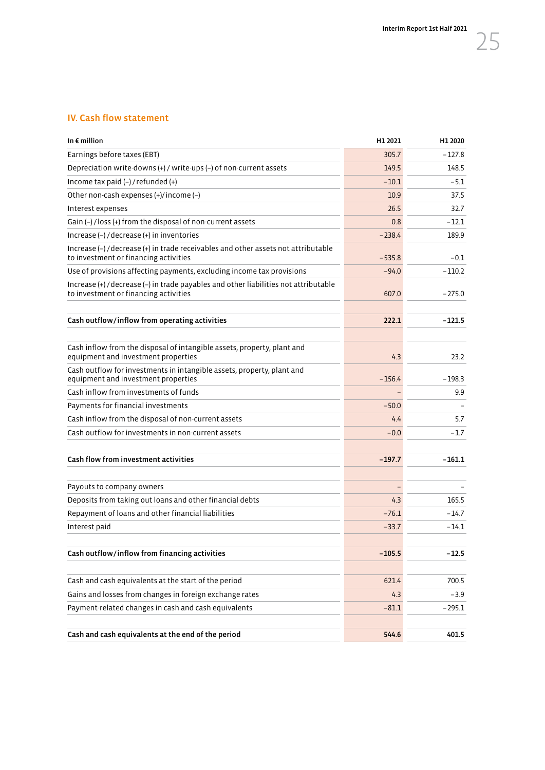## IV. Cash flow statement

| In $\epsilon$ million                                                                                                         | H1 2021  | H1 2020  |
|-------------------------------------------------------------------------------------------------------------------------------|----------|----------|
| Earnings before taxes (EBT)                                                                                                   | 305.7    | $-127.8$ |
| Depreciation write-downs (+) / write-ups (-) of non-current assets                                                            | 149.5    | 148.5    |
| Income tax paid $(-)$ / refunded $(+)$                                                                                        | $-10.1$  | $-5.1$   |
| Other non-cash expenses (+)/income (-)                                                                                        | 10.9     | 37.5     |
| Interest expenses                                                                                                             | 26.5     | 32.7     |
| Gain (-) / loss (+) from the disposal of non-current assets                                                                   | 0.8      | $-12.1$  |
| Increase (-) / decrease (+) in inventories                                                                                    | $-238.4$ | 189.9    |
| Increase (-) / decrease (+) in trade receivables and other assets not attributable<br>to investment or financing activities   | $-535.8$ | $-0.1$   |
| Use of provisions affecting payments, excluding income tax provisions                                                         | $-94.0$  | $-110.2$ |
| Increase (+) / decrease (-) in trade payables and other liabilities not attributable<br>to investment or financing activities | 607.0    | $-275.0$ |
| Cash outflow/inflow from operating activities                                                                                 | 222.1    | $-121.5$ |
|                                                                                                                               |          |          |
| Cash inflow from the disposal of intangible assets, property, plant and<br>equipment and investment properties                | 4.3      | 23.2     |
| Cash outflow for investments in intangible assets, property, plant and<br>equipment and investment properties                 | $-156.4$ | $-198.3$ |
| Cash inflow from investments of funds                                                                                         |          | 9.9      |
| Payments for financial investments                                                                                            | $-50.0$  |          |
| Cash inflow from the disposal of non-current assets                                                                           | 4.4      | 5.7      |
| Cash outflow for investments in non-current assets                                                                            | $-0.0$   | $-1.7$   |
| Cash flow from investment activities                                                                                          | $-197.7$ | $-161.1$ |
| Payouts to company owners                                                                                                     |          |          |
| Deposits from taking out loans and other financial debts                                                                      | 4.3      | 165.5    |
| Repayment of loans and other financial liabilities                                                                            | $-76.1$  | $-14.7$  |
| Interest paid                                                                                                                 | $-33.7$  | $-14.1$  |
| Cash outflow/inflow from financing activities                                                                                 | $-105.5$ | $-12.5$  |
| Cash and cash equivalents at the start of the period                                                                          | 621.4    | 700.5    |
| Gains and losses from changes in foreign exchange rates                                                                       | 4.3      | $-3.9$   |
| Payment-related changes in cash and cash equivalents                                                                          | $-81.1$  | $-295.1$ |
| Cash and cash equivalents at the end of the period                                                                            | 544.6    | 401.5    |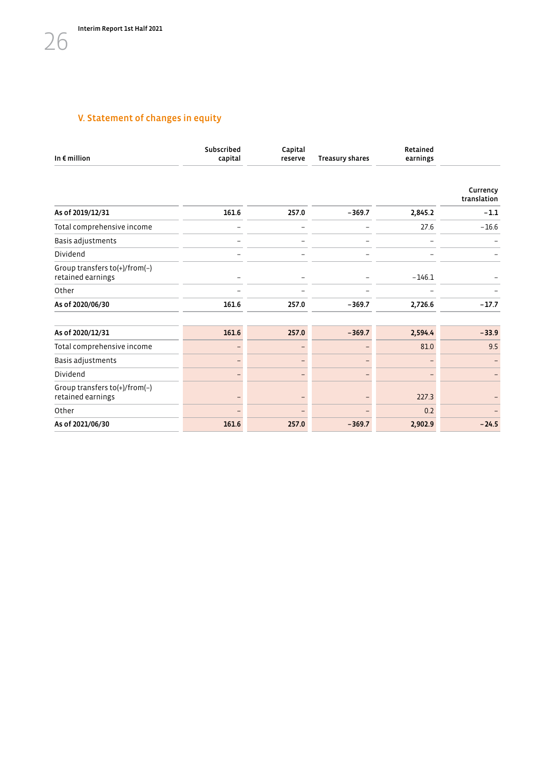# V. Statement of changes in equity

| In $\epsilon$ million                              | Subscribed<br>capital | Capital<br>reserve | <b>Treasury shares</b> | Retained<br>earnings |                         |
|----------------------------------------------------|-----------------------|--------------------|------------------------|----------------------|-------------------------|
|                                                    |                       |                    |                        |                      | Currency<br>translation |
| As of 2019/12/31                                   | 161.6                 | 257.0              | $-369.7$               | 2,845.2              | $-1.1$                  |
| Total comprehensive income                         |                       |                    |                        | 27.6                 | $-16.6$                 |
| Basis adjustments                                  |                       |                    |                        |                      |                         |
| Dividend                                           |                       |                    |                        |                      |                         |
| Group transfers to(+)/from(-)<br>retained earnings |                       |                    |                        | $-146.1$             |                         |
| Other                                              |                       |                    |                        |                      |                         |
| As of 2020/06/30                                   | 161.6                 | 257.0              | $-369.7$               | 2,726.6              | $-17.7$                 |
| As of 2020/12/31                                   | 161.6                 | 257.0              | $-369.7$               | 2,594.4              | $-33.9$                 |
| Total comprehensive income                         |                       |                    |                        | 81.0                 | 9.5                     |
| Basis adjustments                                  |                       |                    |                        |                      |                         |
| Dividend                                           |                       |                    |                        |                      |                         |
| Group transfers to(+)/from(-)<br>retained earnings |                       |                    |                        | 227.3                |                         |
| Other                                              |                       |                    |                        | 0.2                  |                         |
| As of 2021/06/30                                   | 161.6                 | 257.0              | $-369.7$               | 2,902.9              | $-24.5$                 |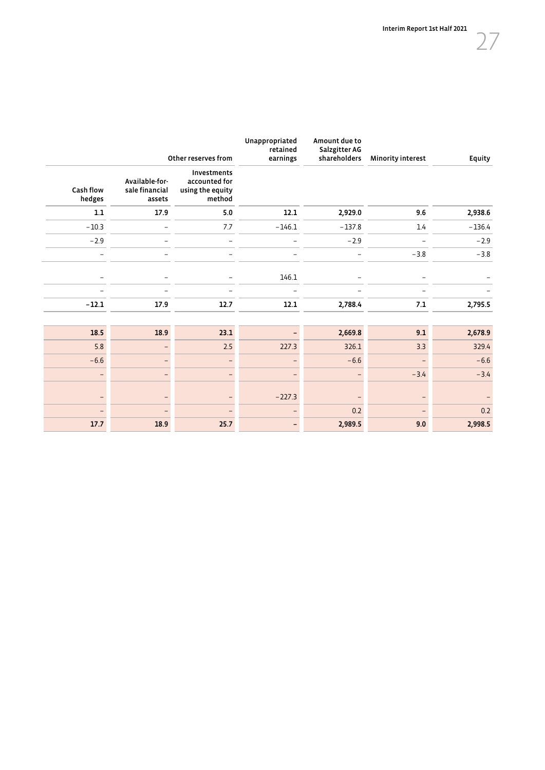|                          |                                            | Other reserves from                                        | Unappropriated<br>retained<br>earnings | Amount due to<br>Salzgitter AG<br>shareholders | <b>Minority interest</b> | Equity   |
|--------------------------|--------------------------------------------|------------------------------------------------------------|----------------------------------------|------------------------------------------------|--------------------------|----------|
| Cash flow<br>hedges      | Available-for-<br>sale financial<br>assets | Investments<br>accounted for<br>using the equity<br>method |                                        |                                                |                          |          |
| $1.1\,$                  | 17.9                                       | $5.0$                                                      | 12.1                                   | 2,929.0                                        | 9.6                      | 2,938.6  |
| $-10.3$                  |                                            | 7.7                                                        | $-146.1$                               | $-137.8$                                       | 1.4                      | $-136.4$ |
| $-2.9$                   |                                            |                                                            |                                        | $-2.9$                                         |                          | $-2.9$   |
| $\overline{\phantom{0}}$ |                                            |                                                            |                                        | $\overline{\phantom{0}}$                       | $-3.8$                   | $-3.8$   |
|                          |                                            |                                                            | 146.1                                  |                                                |                          |          |
|                          |                                            |                                                            |                                        |                                                |                          |          |
| $-12.1$                  | 17.9                                       | 12.7                                                       | 12.1                                   | 2,788.4                                        | $\bf 7.1$                | 2,795.5  |
|                          |                                            |                                                            |                                        |                                                |                          |          |
| 18.5                     | 18.9                                       | 23.1                                                       |                                        | 2,669.8                                        | 9.1                      | 2,678.9  |
| 5.8                      |                                            | $2.5$                                                      | 227.3                                  | 326.1                                          | 3.3                      | 329.4    |
| $-6.6$                   |                                            |                                                            |                                        | $-6.6$                                         |                          | $-6.6$   |
|                          |                                            |                                                            |                                        |                                                | $-3.4$                   | $-3.4$   |
|                          |                                            |                                                            | $-227.3$                               |                                                |                          |          |
|                          |                                            |                                                            |                                        | 0.2                                            |                          | 0.2      |
| 17.7                     | 18.9                                       | 25.7                                                       |                                        | 2,989.5                                        | 9.0                      | 2,998.5  |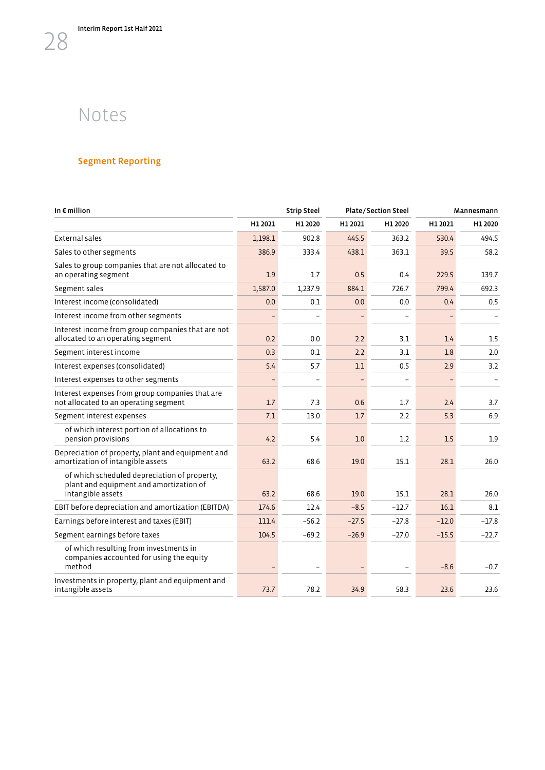# Notes

<span id="page-29-0"></span>28

# Segment Reporting

| In $\epsilon$ million                                                                                        |         | <b>Strip Steel</b> |         | <b>Plate/Section Steel</b> | Mannesmann |         |  |
|--------------------------------------------------------------------------------------------------------------|---------|--------------------|---------|----------------------------|------------|---------|--|
|                                                                                                              | H1 2021 | H1 2020            | H1 2021 | H1 2020                    | H1 2021    | H1 2020 |  |
| External sales                                                                                               | 1,198.1 | 902.8              | 445.5   | 363.2                      | 530.4      | 494.5   |  |
| Sales to other segments                                                                                      | 386.9   | 333.4              | 438.1   | 363.1                      | 39.5       | 58.2    |  |
| Sales to group companies that are not allocated to<br>an operating segment                                   | 1.9     | 1.7                | 0.5     | 0.4                        | 229.5      | 139.7   |  |
| Segment sales                                                                                                | 1,587.0 | 1,237.9            | 884.1   | 726.7                      | 799.4      | 692.3   |  |
| Interest income (consolidated)                                                                               | 0.0     | 0.1                | 0.0     | 0.0                        | 0.4        | 0.5     |  |
| Interest income from other segments                                                                          |         |                    |         |                            |            |         |  |
| Interest income from group companies that are not<br>allocated to an operating segment                       | 0.2     | 0.0                | 2.2     | 3.1                        | 1.4        | 1.5     |  |
| Segment interest income                                                                                      | 0.3     | 0.1                | 2.2     | 3.1                        | 1.8        | 2.0     |  |
| Interest expenses (consolidated)                                                                             | 5.4     | 5.7                | 1.1     | 0.5                        | 2.9        | 3.2     |  |
| Interest expenses to other segments                                                                          |         |                    |         |                            |            |         |  |
| Interest expenses from group companies that are<br>not allocated to an operating segment                     | 1.7     | 7.3                | 0.6     | 1.7                        | 2.4        | 3.7     |  |
| Segment interest expenses                                                                                    | 7.1     | 13.0               | 1.7     | 2.2                        | 5.3        | 6.9     |  |
| of which interest portion of allocations to<br>pension provisions                                            | 4.2     | 5.4                | 1.0     | 1.2                        | 1.5        | 1.9     |  |
| Depreciation of property, plant and equipment and<br>amortization of intangible assets                       | 63.2    | 68.6               | 19.0    | 15.1                       | 28.1       | 26.0    |  |
| of which scheduled depreciation of property,<br>plant and equipment and amortization of<br>intangible assets | 63.2    | 68.6               | 19.0    | 15.1                       | 28.1       | 26.0    |  |
| EBIT before depreciation and amortization (EBITDA)                                                           | 174.6   | 12.4               | $-8.5$  | $-12.7$                    | 16.1       | 8.1     |  |
| Earnings before interest and taxes (EBIT)                                                                    | 111.4   | $-56.2$            | $-27.5$ | $-27.8$                    | $-12.0$    | $-17.8$ |  |
| Segment earnings before taxes                                                                                | 104.5   | $-69.2$            | $-26.9$ | $-27.0$                    | $-15.5$    | $-22.7$ |  |
| of which resulting from investments in<br>companies accounted for using the equity<br>method                 |         |                    |         |                            | $-8.6$     | $-0.7$  |  |
| Investments in property, plant and equipment and<br>intangible assets                                        | 73.7    | 78.2               | 34.9    | 58.3                       | 23.6       | 23.6    |  |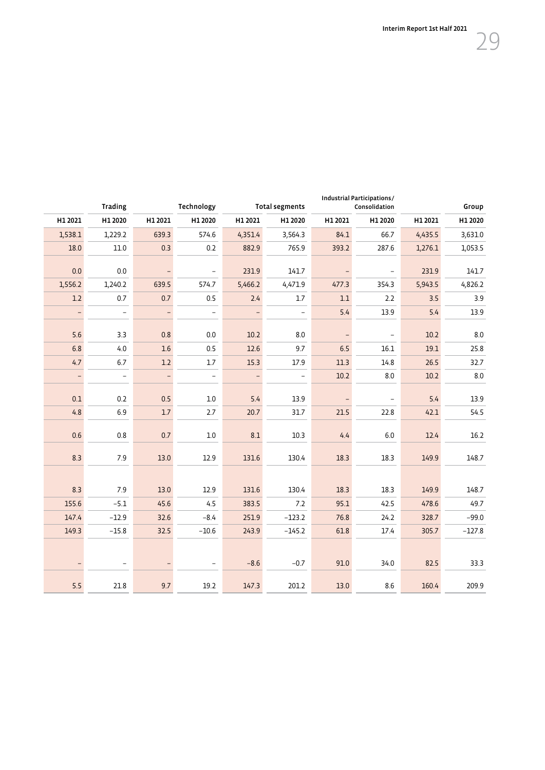| Group    |         | Industrial Participations/<br>Consolidation |         | <b>Total segments</b>    |                          | Technology               |                          | <b>Trading</b>           |                          |
|----------|---------|---------------------------------------------|---------|--------------------------|--------------------------|--------------------------|--------------------------|--------------------------|--------------------------|
| H1 2020  | H1 2021 | H1 2020                                     | H1 2021 | H1 2020                  | H1 2021                  | H1 2020                  | H1 2021                  | H1 2020                  | H1 2021                  |
| 3,631.0  | 4,435.5 | 66.7                                        | 84.1    | 3,564.3                  | 4,351.4                  | 574.6                    | 639.3                    | 1,229.2                  | 1,538.1                  |
| 1,053.5  | 1,276.1 | 287.6                                       | 393.2   | 765.9                    | 882.9                    | 0.2                      | 0.3                      | 11.0                     | 18.0                     |
| 141.7    | 231.9   | $\qquad \qquad -$                           |         | 141.7                    | 231.9                    | $\overline{\phantom{a}}$ |                          | 0.0                      | 0.0                      |
| 4,826.2  | 5,943.5 | 354.3                                       | 477.3   | 4,471.9                  | 5,466.2                  | 574.7                    | 639.5                    | 1,240.2                  | 1,556.2                  |
| 3.9      | 3.5     | 2.2                                         | 1.1     | 1.7                      | 2.4                      | 0.5                      | $0.7\,$                  | $0.7\,$                  | $1.2\,$                  |
| 13.9     | 5.4     | 13.9                                        | 5.4     | $\overline{\phantom{a}}$ | $\overline{\phantom{0}}$ | $\qquad \qquad -$        | $\overline{\phantom{0}}$ | $\equiv$                 | $\overline{\phantom{0}}$ |
| 8.0      | 10.2    | $\overline{\phantom{a}}$                    |         | 8.0                      | 10.2                     | 0.0                      | 0.8                      | 3.3                      | 5.6                      |
| 25.8     | 19.1    | 16.1                                        | 6.5     | 9.7                      | 12.6                     | 0.5                      | 1.6                      | 4.0                      | 6.8                      |
| 32.7     | 26.5    | 14.8                                        | 11.3    | 17.9                     | 15.3                     | 1.7                      | $1.2\,$                  | 6.7                      | 4.7                      |
| $8.0\,$  | 10.2    | $8.0\,$                                     | 10.2    | $\overline{\phantom{a}}$ | $\qquad \qquad -$        | $\qquad \qquad -$        | $\frac{1}{\sqrt{2}}$     | $\overline{a}$           | $\overline{\phantom{0}}$ |
| 13.9     | 5.4     |                                             |         |                          | 5.4                      |                          | 0.5                      | 0.2                      | $0.1\,$                  |
| 54.5     | 42.1    | $\overline{\phantom{a}}$<br>22.8            | 21.5    | 13.9<br>31.7             | 20.7                     | 1.0<br>2.7               | $1.7$                    | 6.9                      | 4.8                      |
|          |         |                                             |         |                          |                          |                          |                          |                          |                          |
| 16.2     | 12.4    | $6.0\,$                                     | 4.4     | 10.3                     | 8.1                      | $1.0\,$                  | 0.7                      | 0.8                      | 0.6                      |
| 148.7    | 149.9   | 18.3                                        | 18.3    | 130.4                    | 131.6                    | 12.9                     | 13.0                     | 7.9                      | 8.3                      |
|          |         |                                             |         |                          |                          |                          |                          |                          |                          |
| 148.7    | 149.9   | 18.3                                        | 18.3    | 130.4                    | 131.6                    | 12.9                     | 13.0                     | 7.9                      | 8.3                      |
| 49.7     | 478.6   | 42.5                                        | 95.1    | $7.2$                    | 383.5                    | 4.5                      | 45.6                     | $-5.1$                   | 155.6                    |
| $-99.0$  | 328.7   | 24.2                                        | 76.8    | $-123.2$                 | 251.9                    | $-8.4$                   | 32.6                     | $-12.9$                  | 147.4                    |
| $-127.8$ | 305.7   | 17.4                                        | 61.8    | $-145.2$                 | 243.9                    | $-10.6$                  | 32.5                     | $-15.8$                  | 149.3                    |
|          |         |                                             |         |                          |                          |                          |                          |                          |                          |
| 33.3     | 82.5    | 34.0                                        | 91.0    | $-0.7$                   | $-8.6$                   | ۰                        |                          | $\overline{\phantom{a}}$ |                          |
| 209.9    | 160.4   | 8.6                                         | 13.0    | 201.2                    | 147.3                    | 19.2                     | 9.7                      | 21.8                     | 5.5                      |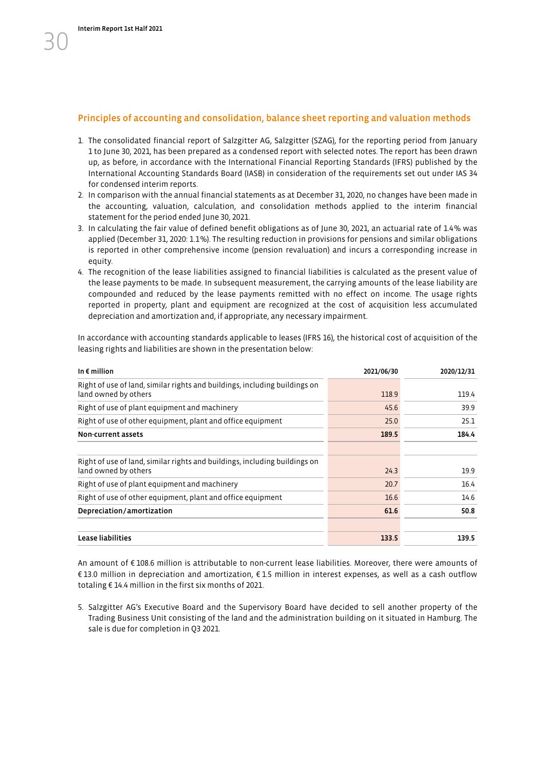#### Principles of accounting and consolidation, balance sheet reporting and valuation methods

- 1. The consolidated financial report of Salzgitter AG, Salzgitter (SZAG), for the reporting period from January 1 to June 30, 2021, has been prepared as a condensed report with selected notes. The report has been drawn up, as before, in accordance with the International Financial Reporting Standards (IFRS) published by the International Accounting Standards Board (IASB) in consideration of the requirements set out under IAS 34 for condensed interim reports.
- 2. In comparison with the annual financial statements as at December 31, 2020, no changes have been made in the accounting, valuation, calculation, and consolidation methods applied to the interim financial statement for the period ended June 30, 2021.
- 3. In calculating the fair value of defined benefit obligations as of June 30, 2021, an actuarial rate of 1.4% was applied (December 31, 2020: 1.1%). The resulting reduction in provisions for pensions and similar obligations is reported in other comprehensive income (pension revaluation) and incurs a corresponding increase in equity.
- 4. The recognition of the lease liabilities assigned to financial liabilities is calculated as the present value of the lease payments to be made. In subsequent measurement, the carrying amounts of the lease liability are compounded and reduced by the lease payments remitted with no effect on income. The usage rights reported in property, plant and equipment are recognized at the cost of acquisition less accumulated depreciation and amortization and, if appropriate, any necessary impairment.

In accordance with accounting standards applicable to leases (IFRS 16), the historical cost of acquisition of the leasing rights and liabilities are shown in the presentation below:

| In $\epsilon$ million                                                                              | 2021/06/30 | 2020/12/31 |
|----------------------------------------------------------------------------------------------------|------------|------------|
| Right of use of land, similar rights and buildings, including buildings on<br>land owned by others | 118.9      | 119.4      |
| Right of use of plant equipment and machinery                                                      | 45.6       | 39.9       |
| Right of use of other equipment, plant and office equipment                                        | 25.0       | 25.1       |
| Non-current assets                                                                                 | 189.5      | 184.4      |
|                                                                                                    |            |            |
| Right of use of land, similar rights and buildings, including buildings on<br>land owned by others | 24.3       | 19.9       |
| Right of use of plant equipment and machinery                                                      | 20.7       | 16.4       |
| Right of use of other equipment, plant and office equipment                                        | 16.6       | 14.6       |
| Depreciation/amortization                                                                          | 61.6       | 50.8       |
| Lease liabilities                                                                                  | 133.5      | 139.5      |

An amount of € 108.6 million is attributable to non-current lease liabilities. Moreover, there were amounts of € 13.0 million in depreciation and amortization, € 1.5 million in interest expenses, as well as a cash outflow totaling € 14.4 million in the first six months of 2021.

5. Salzgitter AG's Executive Board and the Supervisory Board have decided to sell another property of the Trading Business Unit consisting of the land and the administration building on it situated in Hamburg. The sale is due for completion in Q3 2021.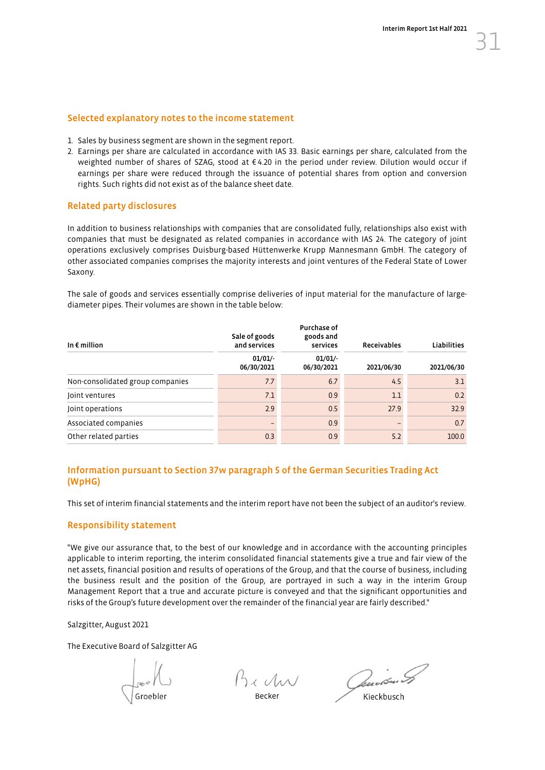#### Selected explanatory notes to the income statement

- 1. Sales by business segment are shown in the segment report.
- 2. Earnings per share are calculated in accordance with IAS 33. Basic earnings per share, calculated from the weighted number of shares of SZAG, stood at € 4.20 in the period under review. Dilution would occur if earnings per share were reduced through the issuance of potential shares from option and conversion rights. Such rights did not exist as of the balance sheet date.

#### Related party disclosures

In addition to business relationships with companies that are consolidated fully, relationships also exist with companies that must be designated as related companies in accordance with IAS 24. The category of joint operations exclusively comprises Duisburg-based Hüttenwerke Krupp Mannesmann GmbH. The category of other associated companies comprises the majority interests and joint ventures of the Federal State of Lower Saxony.

The sale of goods and services essentially comprise deliveries of input material for the manufacture of largediameter pipes. Their volumes are shown in the table below:

| In $\epsilon$ million            | Sale of goods<br>and services | <b>Purchase of</b><br>goods and<br>services | <b>Receivables</b> | <b>Liabilities</b> |
|----------------------------------|-------------------------------|---------------------------------------------|--------------------|--------------------|
|                                  | 01/01/<br>06/30/2021          | $01/01/-$<br>06/30/2021                     | 2021/06/30         | 2021/06/30         |
| Non-consolidated group companies | 7.7                           | 6.7                                         | 4.5                | 3.1                |
| Joint ventures                   | 7.1                           | 0.9                                         | 1.1                | 0.2                |
| Joint operations                 | 2.9                           | 0.5                                         | 27.9               | 32.9               |
| Associated companies             |                               | 0.9                                         |                    | 0.7                |
| Other related parties            | 0.3                           | 0.9                                         | 5.2                | 100.0              |

#### Information pursuant to Section 37w paragraph 5 of the German Securities Trading Act (WpHG)

This set of interim financial statements and the interim report have not been the subject of an auditor's review.

#### Responsibility statement

"We give our assurance that, to the best of our knowledge and in accordance with the accounting principles applicable to interim reporting, the interim consolidated financial statements give a true and fair view of the net assets, financial position and results of operations of the Group, and that the course of business, including the business result and the position of the Group, are portrayed in such a way in the interim Group Management Report that a true and accurate picture is conveyed and that the significant opportunities and risks of the Group's future development over the remainder of the financial year are fairly described."

Salzgitter, August 2021

The Executive Board of Salzgitter AG

Bech

Becker Kieckbusch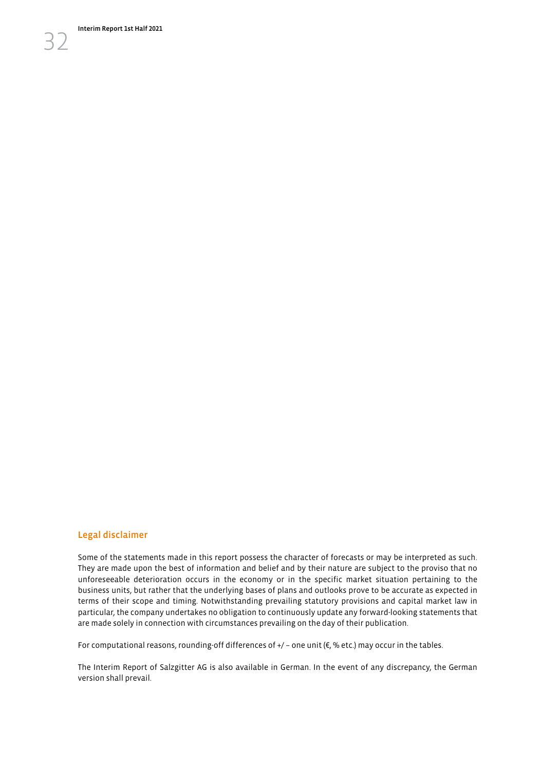## Legal disclaimer

Some of the statements made in this report possess the character of forecasts or may be interpreted as such. They are made upon the best of information and belief and by their nature are subject to the proviso that no unforeseeable deterioration occurs in the economy or in the specific market situation pertaining to the business units, but rather that the underlying bases of plans and outlooks prove to be accurate as expected in terms of their scope and timing. Notwithstanding prevailing statutory provisions and capital market law in particular, the company undertakes no obligation to continuously update any forward-looking statements that are made solely in connection with circumstances prevailing on the day of their publication.

For computational reasons, rounding-off differences of  $+/-$  one unit ( $\varepsilon$ , % etc.) may occur in the tables.

The Interim Report of Salzgitter AG is also available in German. In the event of any discrepancy, the German version shall prevail.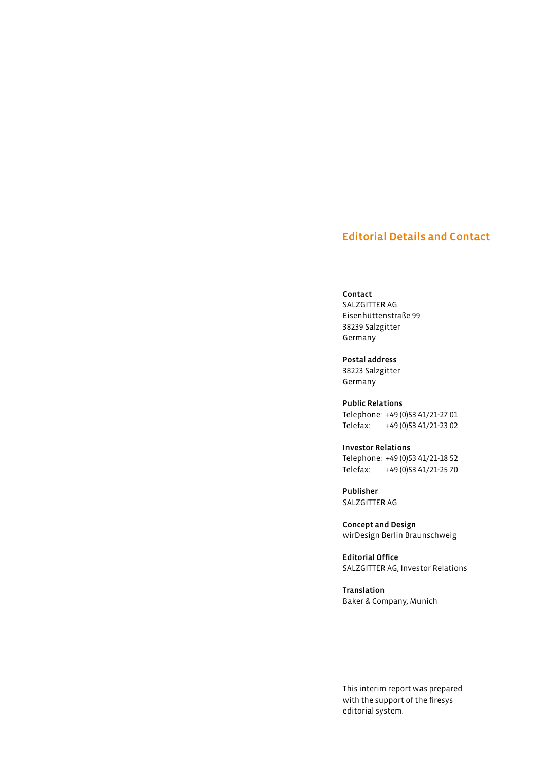## Editorial Details and Contact

#### Contact

SALZGITTER AG Eisenhüttenstraße 99 38239 Salzgitter Germany

Postal address 38223 Salzgitter Germany

Public Relations Telephone: +49 (0)53 41/21-27 01 Telefax: +49 (0)53 41/21-23 02

Investor Relations Telephone: +49 (0)53 41/21-18 52 Telefax: +49 (0)53 41/21-25 70

Publisher SALZGITTER AG

Concept and Design wirDesign Berlin Braunschweig

Editorial Office SALZGITTER AG, Investor Relations

Translation Baker & Company, Munich

This interim report was prepared with the support of the firesys editorial system.